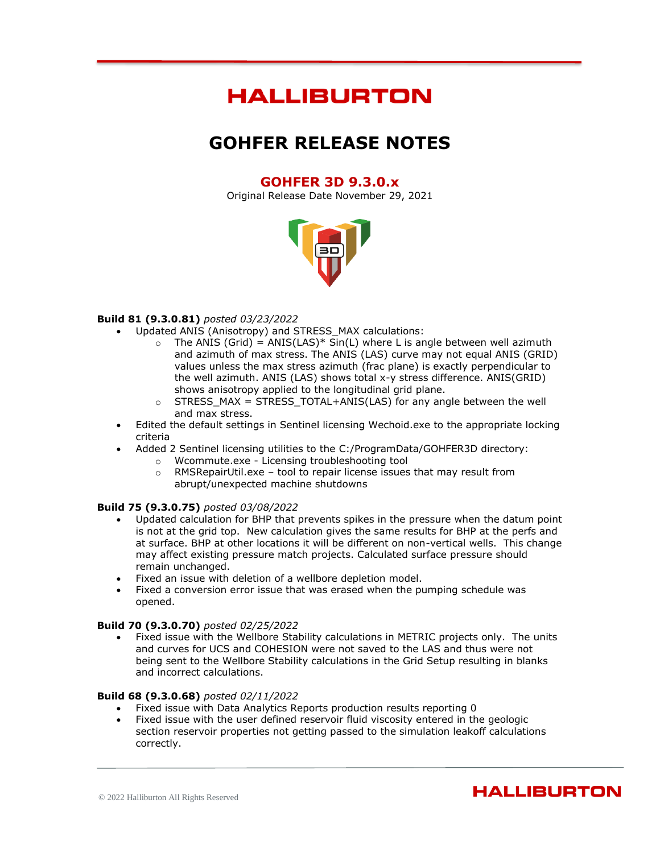# **HALLIBURTON**

# **GOHFER RELEASE NOTES**

# **GOHFER 3D 9.3.0.x**

Original Release Date November 29, 2021



# **Build 81 (9.3.0.81)** *posted 03/23/2022*

- Updated ANIS (Anisotropy) and STRESS\_MAX calculations:
	- $\circ$  The ANIS (Grid) = ANIS(LAS)\* Sin(L) where L is angle between well azimuth and azimuth of max stress. The ANIS (LAS) curve may not equal ANIS (GRID) values unless the max stress azimuth (frac plane) is exactly perpendicular to the well azimuth. ANIS (LAS) shows total x-y stress difference. ANIS(GRID) shows anisotropy applied to the longitudinal grid plane.
	- $\circ$  STRESS\_MAX = STRESS\_TOTAL+ANIS(LAS) for any angle between the well and max stress.
- Edited the default settings in Sentinel licensing Wechoid.exe to the appropriate locking criteria
- Added 2 Sentinel licensing utilities to the C:/ProgramData/GOHFER3D directory:
	- o Wcommute.exe Licensing troubleshooting tool
	- $\circ$  RMSRepairUtil.exe tool to repair license issues that may result from abrupt/unexpected machine shutdowns

#### **Build 75 (9.3.0.75)** *posted 03/08/2022*

- Updated calculation for BHP that prevents spikes in the pressure when the datum point is not at the grid top. New calculation gives the same results for BHP at the perfs and at surface. BHP at other locations it will be different on non-vertical wells. This change may affect existing pressure match projects. Calculated surface pressure should remain unchanged.
- Fixed an issue with deletion of a wellbore depletion model.
- Fixed a conversion error issue that was erased when the pumping schedule was opened.

#### **Build 70 (9.3.0.70)** *posted 02/25/2022*

• Fixed issue with the Wellbore Stability calculations in METRIC projects only. The units and curves for UCS and COHESION were not saved to the LAS and thus were not being sent to the Wellbore Stability calculations in the Grid Setup resulting in blanks and incorrect calculations.

#### **Build 68 (9.3.0.68)** *posted 02/11/2022*

- Fixed issue with Data Analytics Reports production results reporting 0
- Fixed issue with the user defined reservoir fluid viscosity entered in the geologic section reservoir properties not getting passed to the simulation leakoff calculations correctly.

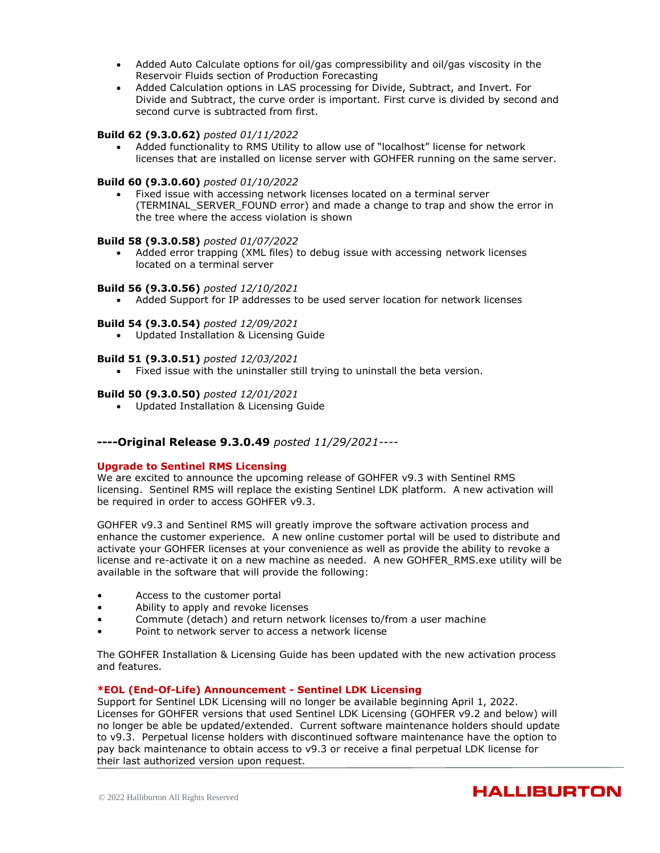- Added Auto Calculate options for oil/gas compressibility and oil/gas viscosity in the Reservoir Fluids section of Production Forecasting
- Added Calculation options in LAS processing for Divide, Subtract, and Invert. For Divide and Subtract, the curve order is important. First curve is divided by second and second curve is subtracted from first.

### **Build 62 (9.3.0.62)** *posted 01/11/2022*

• Added functionality to RMS Utility to allow use of "localhost" license for network licenses that are installed on license server with GOHFER running on the same server.

#### **Build 60 (9.3.0.60)** *posted 01/10/2022*

• Fixed issue with accessing network licenses located on a terminal server (TERMINAL\_SERVER\_FOUND error) and made a change to trap and show the error in the tree where the access violation is shown

#### **Build 58 (9.3.0.58)** *posted 01/07/2022*

• Added error trapping (XML files) to debug issue with accessing network licenses located on a terminal server

### **Build 56 (9.3.0.56)** *posted 12/10/2021*

• Added Support for IP addresses to be used server location for network licenses

### **Build 54 (9.3.0.54)** *posted 12/09/2021*

• Updated Installation & Licensing Guide

#### **Build 51 (9.3.0.51)** *posted 12/03/2021*

• Fixed issue with the uninstaller still trying to uninstall the beta version.

#### **Build 50 (9.3.0.50)** *posted 12/01/2021*

• Updated Installation & Licensing Guide

# **----Original Release 9.3.0.49** *posted 11/29/2021----*

#### **Upgrade to Sentinel RMS Licensing**

We are excited to announce the upcoming release of GOHFER v9.3 with Sentinel RMS licensing. Sentinel RMS will replace the existing Sentinel LDK platform. A new activation will be required in order to access GOHFER v9.3.

GOHFER v9.3 and Sentinel RMS will greatly improve the software activation process and enhance the customer experience. A new online customer portal will be used to distribute and activate your GOHFER licenses at your convenience as well as provide the ability to revoke a license and re-activate it on a new machine as needed. A new GOHFER\_RMS.exe utility will be available in the software that will provide the following:

- Access to the customer portal
- Ability to apply and revoke licenses
- Commute (detach) and return network licenses to/from a user machine
- Point to network server to access a network license

The GOHFER Installation & Licensing Guide has been updated with the new activation process and features.

#### **\*EOL (End-Of-Life) Announcement - Sentinel LDK Licensing**

Support for Sentinel LDK Licensing will no longer be available beginning April 1, 2022. Licenses for GOHFER versions that used Sentinel LDK Licensing (GOHFER v9.2 and below) will no longer be able be updated/extended. Current software maintenance holders should update to v9.3. Perpetual license holders with discontinued software maintenance have the option to pay back maintenance to obtain access to v9.3 or receive a final perpetual LDK license for their last authorized version upon request.

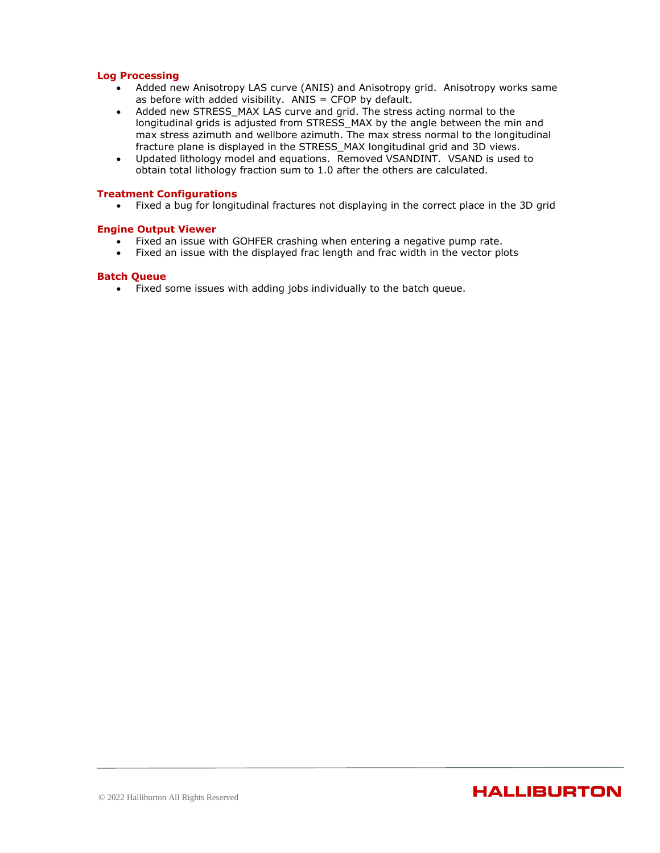#### **Log Processing**

- Added new Anisotropy LAS curve (ANIS) and Anisotropy grid. Anisotropy works same as before with added visibility.  $ANIS = CFOP$  by default.
- Added new STRESS MAX LAS curve and grid. The stress acting normal to the longitudinal grids is adjusted from STRESS\_MAX by the angle between the min and max stress azimuth and wellbore azimuth. The max stress normal to the longitudinal fracture plane is displayed in the STRESS\_MAX longitudinal grid and 3D views.
- Updated lithology model and equations. Removed VSANDINT. VSAND is used to obtain total lithology fraction sum to 1.0 after the others are calculated.

### **Treatment Configurations**

• Fixed a bug for longitudinal fractures not displaying in the correct place in the 3D grid

#### **Engine Output Viewer**

- Fixed an issue with GOHFER crashing when entering a negative pump rate.
- Fixed an issue with the displayed frac length and frac width in the vector plots

#### **Batch Queue**

• Fixed some issues with adding jobs individually to the batch queue.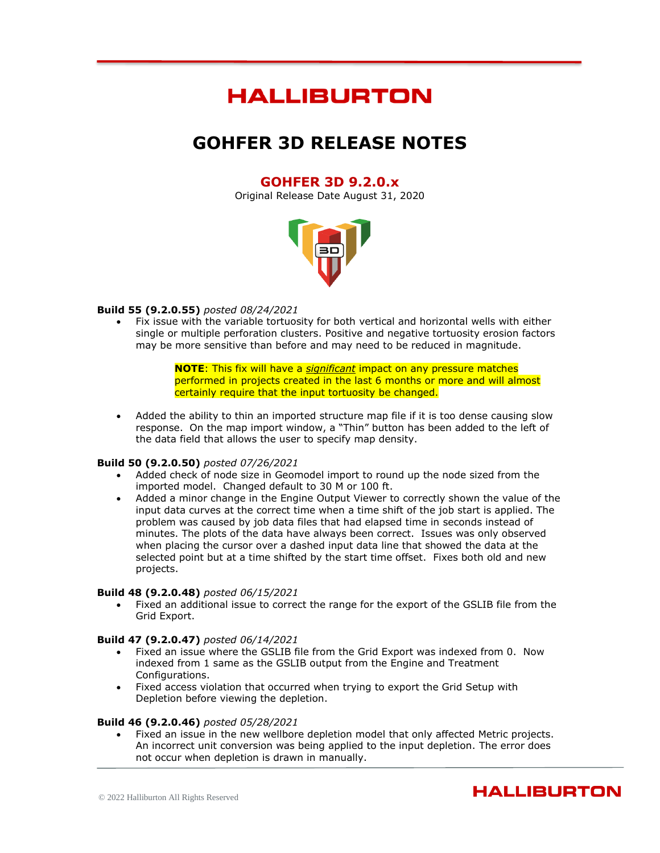# **HALLIBURTON**

# **GOHFER 3D RELEASE NOTES**

# **GOHFER 3D 9.2.0.x**

Original Release Date August 31, 2020



### **Build 55 (9.2.0.55)** *posted 08/24/2021*

• Fix issue with the variable tortuosity for both vertical and horizontal wells with either single or multiple perforation clusters. Positive and negative tortuosity erosion factors may be more sensitive than before and may need to be reduced in magnitude.

> **NOTE**: This fix will have a *significant* impact on any pressure matches performed in projects created in the last 6 months or more and will almost certainly require that the input tortuosity be changed.

• Added the ability to thin an imported structure map file if it is too dense causing slow response. On the map import window, a "Thin" button has been added to the left of the data field that allows the user to specify map density.

#### **Build 50 (9.2.0.50)** *posted 07/26/2021*

- Added check of node size in Geomodel import to round up the node sized from the imported model. Changed default to 30 M or 100 ft.
- Added a minor change in the Engine Output Viewer to correctly shown the value of the input data curves at the correct time when a time shift of the job start is applied. The problem was caused by job data files that had elapsed time in seconds instead of minutes. The plots of the data have always been correct. Issues was only observed when placing the cursor over a dashed input data line that showed the data at the selected point but at a time shifted by the start time offset. Fixes both old and new projects.

### **Build 48 (9.2.0.48)** *posted 06/15/2021*

• Fixed an additional issue to correct the range for the export of the GSLIB file from the Grid Export.

#### **Build 47 (9.2.0.47)** *posted 06/14/2021*

- Fixed an issue where the GSLIB file from the Grid Export was indexed from 0. Now indexed from 1 same as the GSLIB output from the Engine and Treatment Configurations.
- Fixed access violation that occurred when trying to export the Grid Setup with Depletion before viewing the depletion.

#### **Build 46 (9.2.0.46)** *posted 05/28/2021*

Fixed an issue in the new wellbore depletion model that only affected Metric projects. An incorrect unit conversion was being applied to the input depletion. The error does not occur when depletion is drawn in manually.

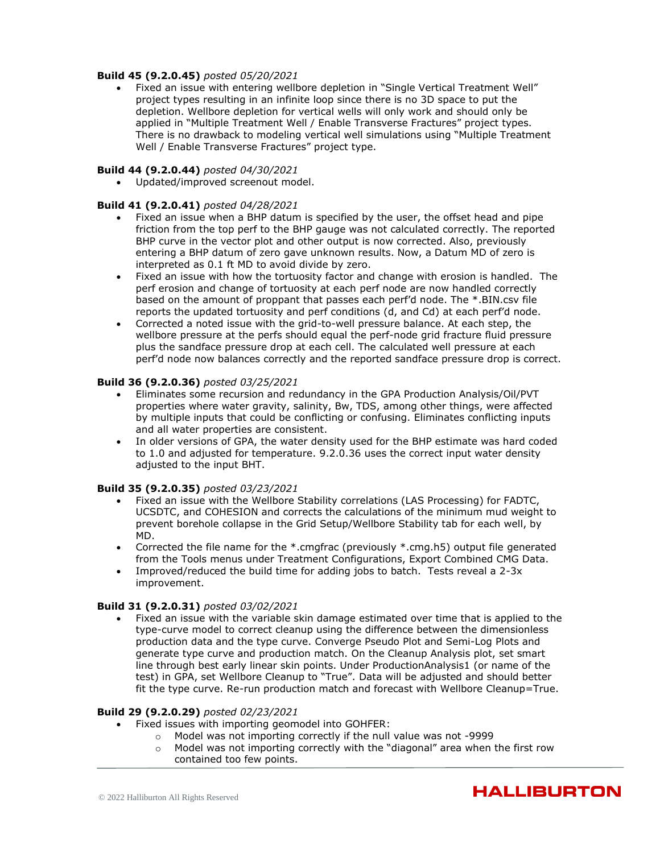# **Build 45 (9.2.0.45)** *posted 05/20/2021*

• Fixed an issue with entering wellbore depletion in "Single Vertical Treatment Well" project types resulting in an infinite loop since there is no 3D space to put the depletion. Wellbore depletion for vertical wells will only work and should only be applied in "Multiple Treatment Well / Enable Transverse Fractures" project types. There is no drawback to modeling vertical well simulations using "Multiple Treatment Well / Enable Transverse Fractures" project type.

### **Build 44 (9.2.0.44)** *posted 04/30/2021*

• Updated/improved screenout model.

### **Build 41 (9.2.0.41)** *posted 04/28/2021*

- Fixed an issue when a BHP datum is specified by the user, the offset head and pipe friction from the top perf to the BHP gauge was not calculated correctly. The reported BHP curve in the vector plot and other output is now corrected. Also, previously entering a BHP datum of zero gave unknown results. Now, a Datum MD of zero is interpreted as 0.1 ft MD to avoid divide by zero.
- Fixed an issue with how the tortuosity factor and change with erosion is handled. The perf erosion and change of tortuosity at each perf node are now handled correctly based on the amount of proppant that passes each perf'd node. The \*.BIN.csv file reports the updated tortuosity and perf conditions (d, and Cd) at each perf'd node.
- Corrected a noted issue with the grid-to-well pressure balance. At each step, the wellbore pressure at the perfs should equal the perf-node grid fracture fluid pressure plus the sandface pressure drop at each cell. The calculated well pressure at each perf'd node now balances correctly and the reported sandface pressure drop is correct.

### **Build 36 (9.2.0.36)** *posted 03/25/2021*

- Eliminates some recursion and redundancy in the GPA Production Analysis/Oil/PVT properties where water gravity, salinity, Bw, TDS, among other things, were affected by multiple inputs that could be conflicting or confusing. Eliminates conflicting inputs and all water properties are consistent.
- In older versions of GPA, the water density used for the BHP estimate was hard coded to 1.0 and adjusted for temperature. 9.2.0.36 uses the correct input water density adjusted to the input BHT.

# **Build 35 (9.2.0.35)** *posted 03/23/2021*

- Fixed an issue with the Wellbore Stability correlations (LAS Processing) for FADTC, UCSDTC, and COHESION and corrects the calculations of the minimum mud weight to prevent borehole collapse in the Grid Setup/Wellbore Stability tab for each well, by MD.
- Corrected the file name for the  $*$ .cmgfrac (previously  $*$ .cmg.h5) output file generated from the Tools menus under Treatment Configurations, Export Combined CMG Data.
- Improved/reduced the build time for adding jobs to batch. Tests reveal a 2-3x improvement.

#### **Build 31 (9.2.0.31)** *posted 03/02/2021*

• Fixed an issue with the variable skin damage estimated over time that is applied to the type-curve model to correct cleanup using the difference between the dimensionless production data and the type curve. Converge Pseudo Plot and Semi-Log Plots and generate type curve and production match. On the Cleanup Analysis plot, set smart line through best early linear skin points. Under ProductionAnalysis1 (or name of the test) in GPA, set Wellbore Cleanup to "True". Data will be adjusted and should better fit the type curve. Re-run production match and forecast with Wellbore Cleanup=True.

# **Build 29 (9.2.0.29)** *posted 02/23/2021*

- Fixed issues with importing geomodel into GOHFER:
	- o Model was not importing correctly if the null value was not -9999
		- $\circ$  Model was not importing correctly with the "diagonal" area when the first row contained too few points.

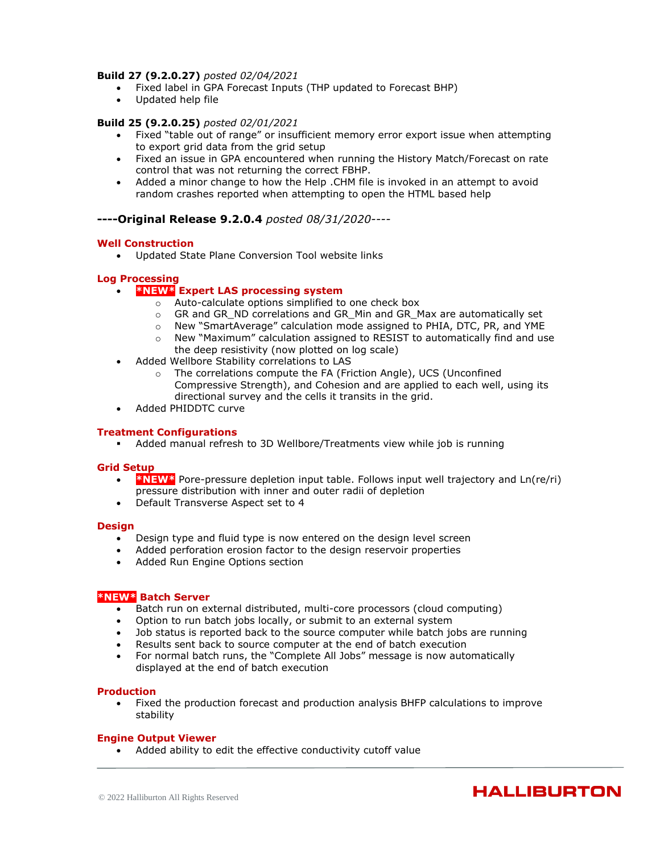### **Build 27 (9.2.0.27)** *posted 02/04/2021*

- Fixed label in GPA Forecast Inputs (THP updated to Forecast BHP)
- Updated help file

#### **Build 25 (9.2.0.25)** *posted 02/01/2021*

- Fixed "table out of range" or insufficient memory error export issue when attempting to export grid data from the grid setup
- Fixed an issue in GPA encountered when running the History Match/Forecast on rate control that was not returning the correct FBHP.
- Added a minor change to how the Help .CHM file is invoked in an attempt to avoid random crashes reported when attempting to open the HTML based help

### **----Original Release 9.2.0.4** *posted 08/31/2020----*

### **Well Construction**

• Updated State Plane Conversion Tool website links

### **Log Processing**

# • **\*NEW\* Expert LAS processing system**

- o Auto-calculate options simplified to one check box
- o GR and GR\_ND correlations and GR\_Min and GR\_Max are automatically set
- o New "SmartAverage" calculation mode assigned to PHIA, DTC, PR, and YME
- $\circ$  New "Maximum" calculation assigned to RESIST to automatically find and use the deep resistivity (now plotted on log scale)
- Added Wellbore Stability correlations to LAS
	- o The correlations compute the FA (Friction Angle), UCS (Unconfined Compressive Strength), and Cohesion and are applied to each well, using its directional survey and the cells it transits in the grid.
- Added PHIDDTC curve

#### **Treatment Configurations**

▪ Added manual refresh to 3D Wellbore/Treatments view while job is running

### **Grid Setup**

- **\*NEW\*** Pore-pressure depletion input table. Follows input well trajectory and Ln(re/ri) pressure distribution with inner and outer radii of depletion
- Default Transverse Aspect set to 4

#### **Design**

- Design type and fluid type is now entered on the design level screen
- Added perforation erosion factor to the design reservoir properties
- Added Run Engine Options section

#### **\*NEW\* Batch Server**

- Batch run on external distributed, multi-core processors (cloud computing)
- Option to run batch jobs locally, or submit to an external system
- Job status is reported back to the source computer while batch jobs are running
- Results sent back to source computer at the end of batch execution
- For normal batch runs, the "Complete All Jobs" message is now automatically displayed at the end of batch execution

#### **Production**

• Fixed the production forecast and production analysis BHFP calculations to improve stability

#### **Engine Output Viewer**

• Added ability to edit the effective conductivity cutoff value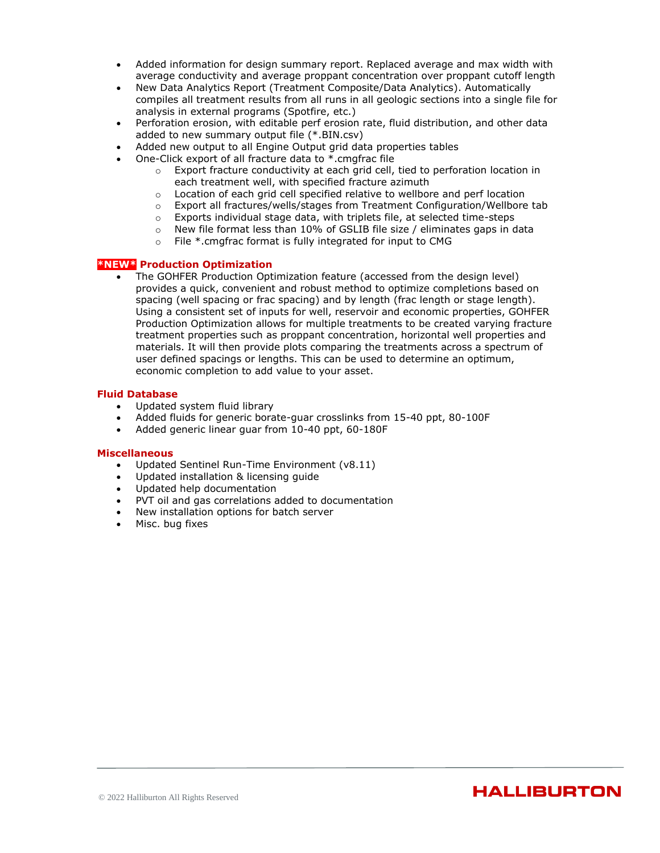- Added information for design summary report. Replaced average and max width with average conductivity and average proppant concentration over proppant cutoff length
- New Data Analytics Report (Treatment Composite/Data Analytics). Automatically compiles all treatment results from all runs in all geologic sections into a single file for analysis in external programs (Spotfire, etc.)
- Perforation erosion, with editable perf erosion rate, fluid distribution, and other data added to new summary output file (\*.BIN.csv)
- Added new output to all Engine Output grid data properties tables
- One-Click export of all fracture data to \*.cmgfrac file
	- $\circ$  Export fracture conductivity at each grid cell, tied to perforation location in each treatment well, with specified fracture azimuth
	- o Location of each grid cell specified relative to wellbore and perf location
	- o Export all fractures/wells/stages from Treatment Configuration/Wellbore tab
	- o Exports individual stage data, with triplets file, at selected time-steps
	- $\circ$  New file format less than 10% of GSLIB file size / eliminates gaps in data
	- o File \*.cmgfrac format is fully integrated for input to CMG

### **\*NEW\* Production Optimization**

• The GOHFER Production Optimization feature (accessed from the design level) provides a quick, convenient and robust method to optimize completions based on spacing (well spacing or frac spacing) and by length (frac length or stage length). Using a consistent set of inputs for well, reservoir and economic properties, GOHFER Production Optimization allows for multiple treatments to be created varying fracture treatment properties such as proppant concentration, horizontal well properties and materials. It will then provide plots comparing the treatments across a spectrum of user defined spacings or lengths. This can be used to determine an optimum, economic completion to add value to your asset.

# **Fluid Database**

- Updated system fluid library
- Added fluids for generic borate-guar crosslinks from 15-40 ppt, 80-100F
- Added generic linear guar from 10-40 ppt, 60-180F

- Updated Sentinel Run-Time Environment (v8.11)
- Updated installation & licensing guide
- Updated help documentation
- PVT oil and gas correlations added to documentation
- New installation options for batch server
- Misc. bug fixes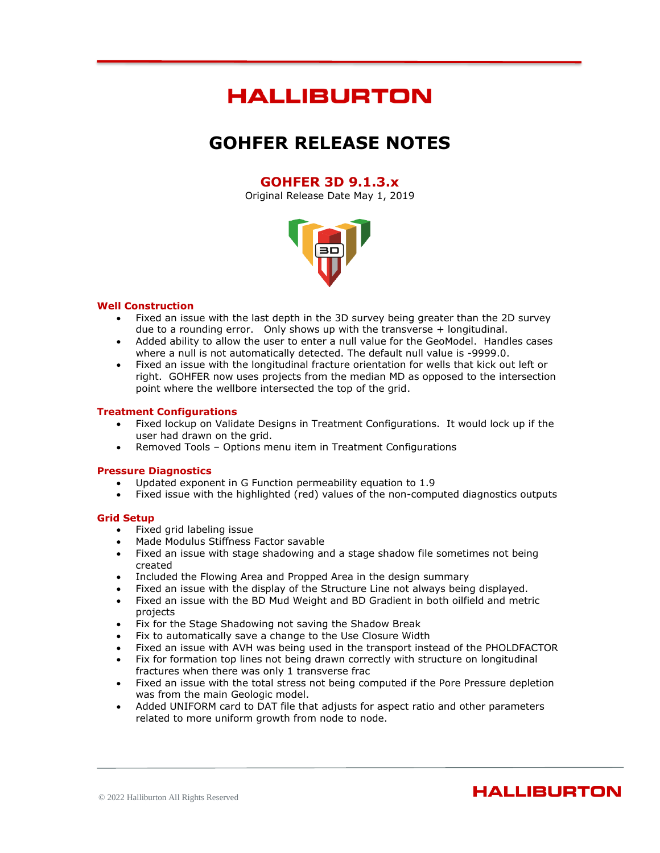# **HALLIBURTON**

# **GOHFER RELEASE NOTES**

# **GOHFER 3D 9.1.3.x**

Original Release Date May 1, 2019



### **Well Construction**

- Fixed an issue with the last depth in the 3D survey being greater than the 2D survey due to a rounding error. Only shows up with the transverse + longitudinal.
- Added ability to allow the user to enter a null value for the GeoModel. Handles cases where a null is not automatically detected. The default null value is -9999.0.
- Fixed an issue with the longitudinal fracture orientation for wells that kick out left or right. GOHFER now uses projects from the median MD as opposed to the intersection point where the wellbore intersected the top of the grid.

#### **Treatment Configurations**

- Fixed lockup on Validate Designs in Treatment Configurations. It would lock up if the user had drawn on the grid.
- Removed Tools Options menu item in Treatment Configurations

#### **Pressure Diagnostics**

- Updated exponent in G Function permeability equation to 1.9
- Fixed issue with the highlighted (red) values of the non-computed diagnostics outputs

# **Grid Setup**

- Fixed grid labeling issue
- Made Modulus Stiffness Factor savable
- Fixed an issue with stage shadowing and a stage shadow file sometimes not being created
- Included the Flowing Area and Propped Area in the design summary
- Fixed an issue with the display of the Structure Line not always being displayed.
- Fixed an issue with the BD Mud Weight and BD Gradient in both oilfield and metric projects
- Fix for the Stage Shadowing not saving the Shadow Break
- Fix to automatically save a change to the Use Closure Width
- Fixed an issue with AVH was being used in the transport instead of the PHOLDFACTOR
- Fix for formation top lines not being drawn correctly with structure on longitudinal fractures when there was only 1 transverse frac
- Fixed an issue with the total stress not being computed if the Pore Pressure depletion was from the main Geologic model.
- Added UNIFORM card to DAT file that adjusts for aspect ratio and other parameters related to more uniform growth from node to node.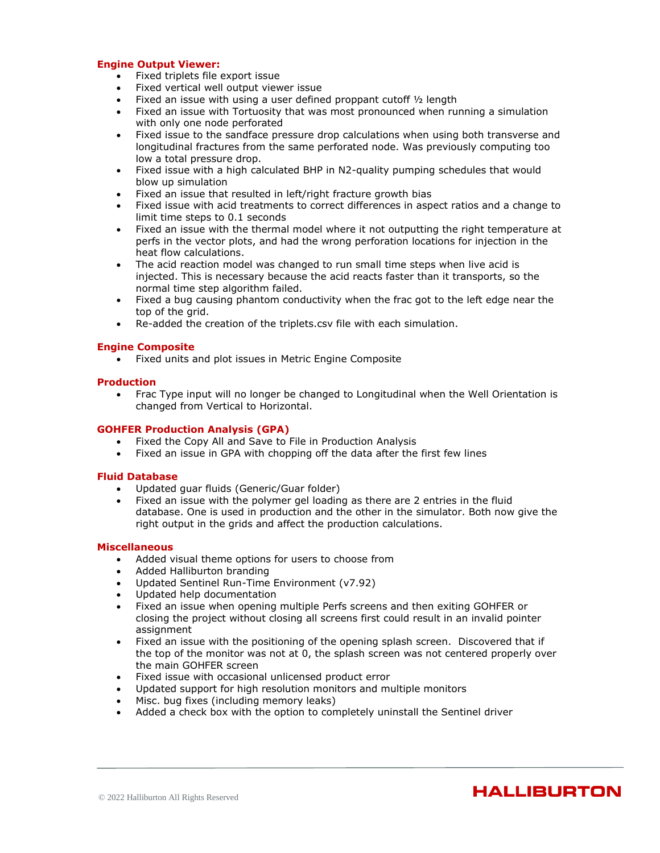### **Engine Output Viewer:**

- Fixed triplets file export issue
- Fixed vertical well output viewer issue
- Fixed an issue with using a user defined proppant cutoff 1/2 length
- Fixed an issue with Tortuosity that was most pronounced when running a simulation with only one node perforated
- Fixed issue to the sandface pressure drop calculations when using both transverse and longitudinal fractures from the same perforated node. Was previously computing too low a total pressure drop.
- Fixed issue with a high calculated BHP in N2-quality pumping schedules that would blow up simulation
- Fixed an issue that resulted in left/right fracture growth bias
- Fixed issue with acid treatments to correct differences in aspect ratios and a change to limit time steps to 0.1 seconds
- Fixed an issue with the thermal model where it not outputting the right temperature at perfs in the vector plots, and had the wrong perforation locations for injection in the heat flow calculations.
- The acid reaction model was changed to run small time steps when live acid is injected. This is necessary because the acid reacts faster than it transports, so the normal time step algorithm failed.
- Fixed a bug causing phantom conductivity when the frac got to the left edge near the top of the grid.
- Re-added the creation of the triplets.csv file with each simulation.

#### **Engine Composite**

• Fixed units and plot issues in Metric Engine Composite

# **Production**

• Frac Type input will no longer be changed to Longitudinal when the Well Orientation is changed from Vertical to Horizontal.

#### **GOHFER Production Analysis (GPA)**

- Fixed the Copy All and Save to File in Production Analysis
- Fixed an issue in GPA with chopping off the data after the first few lines

#### **Fluid Database**

- Updated guar fluids (Generic/Guar folder)
- Fixed an issue with the polymer gel loading as there are 2 entries in the fluid database. One is used in production and the other in the simulator. Both now give the right output in the grids and affect the production calculations.

#### **Miscellaneous**

- Added visual theme options for users to choose from
- Added Halliburton branding
- Updated Sentinel Run-Time Environment (v7.92)
- Updated help documentation
- Fixed an issue when opening multiple Perfs screens and then exiting GOHFER or closing the project without closing all screens first could result in an invalid pointer assignment
- Fixed an issue with the positioning of the opening splash screen. Discovered that if the top of the monitor was not at 0, the splash screen was not centered properly over the main GOHFER screen
- Fixed issue with occasional unlicensed product error
- Updated support for high resolution monitors and multiple monitors
- Misc. bug fixes (including memory leaks)
- Added a check box with the option to completely uninstall the Sentinel driver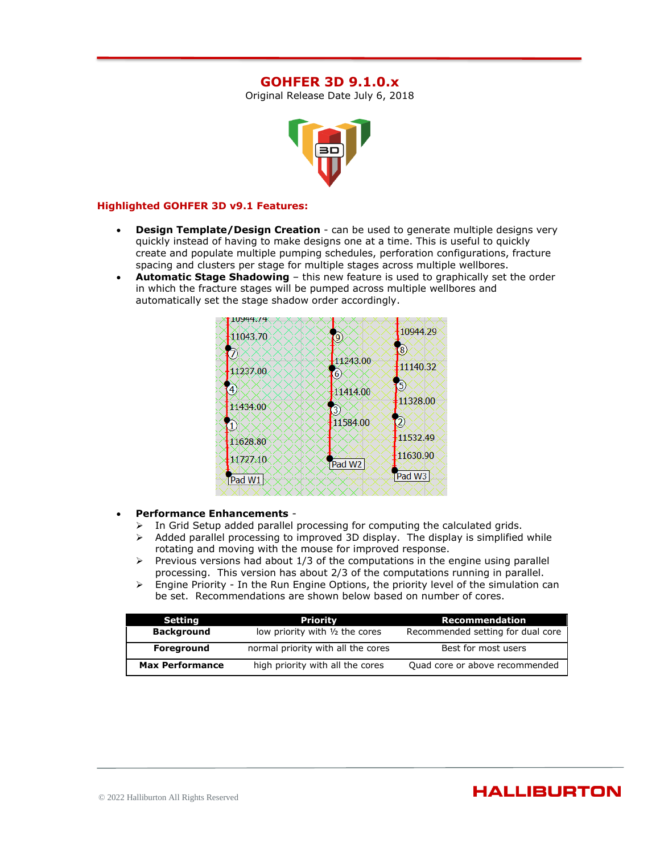# **GOHFER 3D 9.1.0.x**

Original Release Date July 6, 2018



#### **Highlighted GOHFER 3D v9.1 Features:**

- **Design Template/Design Creation** can be used to generate multiple designs very quickly instead of having to make designs one at a time. This is useful to quickly create and populate multiple pumping schedules, perforation configurations, fracture spacing and clusters per stage for multiple stages across multiple wellbores.
- **Automatic Stage Shadowing** this new feature is used to graphically set the order in which the fracture stages will be pumped across multiple wellbores and automatically set the stage shadow order accordingly.



### • **Performance Enhancements** -

- In Grid Setup added parallel processing for computing the calculated grids.
- $\triangleright$  Added parallel processing to improved 3D display. The display is simplified while rotating and moving with the mouse for improved response.
- $\triangleright$  Previous versions had about 1/3 of the computations in the engine using parallel processing. This version has about 2/3 of the computations running in parallel.
- ➢ Engine Priority In the Run Engine Options, the priority level of the simulation can be set. Recommendations are shown below based on number of cores.

| Setting                | Priority                           | Recommendation                    |
|------------------------|------------------------------------|-----------------------------------|
| <b>Background</b>      | low priority with 1/2 the cores    | Recommended setting for dual core |
| Foreground             | normal priority with all the cores | Best for most users               |
| <b>Max Performance</b> | high priority with all the cores   | Quad core or above recommended    |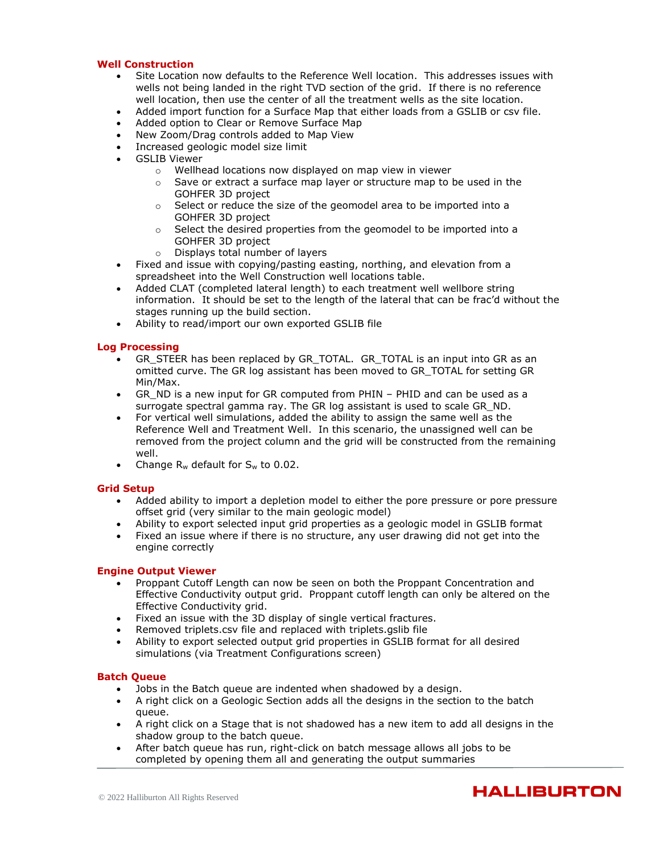#### **Well Construction**

- Site Location now defaults to the Reference Well location. This addresses issues with wells not being landed in the right TVD section of the grid. If there is no reference well location, then use the center of all the treatment wells as the site location.
- Added import function for a Surface Map that either loads from a GSLIB or csv file.
- Added option to Clear or Remove Surface Map
- New Zoom/Drag controls added to Map View
- Increased geologic model size limit
- **GSLIB Viewer** 
	- o Wellhead locations now displayed on map view in viewer
	- $\circ$  Save or extract a surface map layer or structure map to be used in the GOHFER 3D project
	- $\circ$  Select or reduce the size of the geomodel area to be imported into a GOHFER 3D project
	- $\circ$  Select the desired properties from the geomodel to be imported into a GOHFER 3D project
	- o Displays total number of layers
- Fixed and issue with copying/pasting easting, northing, and elevation from a spreadsheet into the Well Construction well locations table.
- Added CLAT (completed lateral length) to each treatment well wellbore string information. It should be set to the length of the lateral that can be frac'd without the stages running up the build section.
- Ability to read/import our own exported GSLIB file

### **Log Processing**

- GR\_STEER has been replaced by GR\_TOTAL. GR\_TOTAL is an input into GR as an omitted curve. The GR log assistant has been moved to GR\_TOTAL for setting GR Min/Max.
- GR\_ND is a new input for GR computed from PHIN PHID and can be used as a surrogate spectral gamma ray. The GR log assistant is used to scale GR\_ND.
- For vertical well simulations, added the ability to assign the same well as the Reference Well and Treatment Well. In this scenario, the unassigned well can be removed from the project column and the grid will be constructed from the remaining well.
- Change  $R_w$  default for  $S_w$  to 0.02.

#### **Grid Setup**

- Added ability to import a depletion model to either the pore pressure or pore pressure offset grid (very similar to the main geologic model)
- Ability to export selected input grid properties as a geologic model in GSLIB format
- Fixed an issue where if there is no structure, any user drawing did not get into the engine correctly

#### **Engine Output Viewer**

- Proppant Cutoff Length can now be seen on both the Proppant Concentration and Effective Conductivity output grid. Proppant cutoff length can only be altered on the Effective Conductivity grid.
- Fixed an issue with the 3D display of single vertical fractures.
- Removed triplets.csv file and replaced with triplets.gslib file
- Ability to export selected output grid properties in GSLIB format for all desired simulations (via Treatment Configurations screen)

#### **Batch Queue**

- Jobs in the Batch queue are indented when shadowed by a design.
- A right click on a Geologic Section adds all the designs in the section to the batch queue.
- A right click on a Stage that is not shadowed has a new item to add all designs in the shadow group to the batch queue.
- After batch queue has run, right-click on batch message allows all jobs to be completed by opening them all and generating the output summaries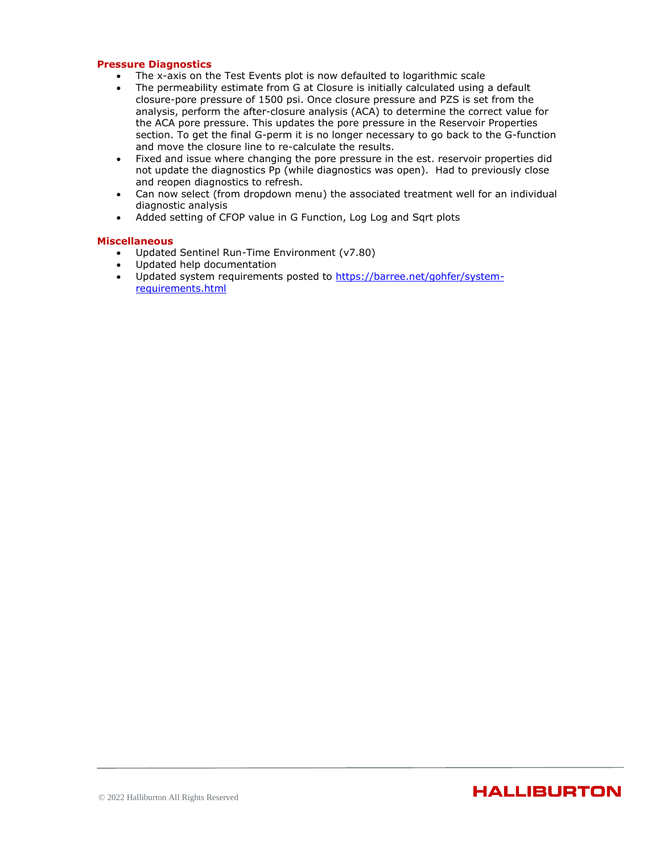#### **Pressure Diagnostics**

- The x-axis on the Test Events plot is now defaulted to logarithmic scale
- The permeability estimate from G at Closure is initially calculated using a default closure-pore pressure of 1500 psi. Once closure pressure and PZS is set from the analysis, perform the after-closure analysis (ACA) to determine the correct value for the ACA pore pressure. This updates the pore pressure in the Reservoir Properties section. To get the final G-perm it is no longer necessary to go back to the G-function and move the closure line to re-calculate the results.
- Fixed and issue where changing the pore pressure in the est. reservoir properties did not update the diagnostics Pp (while diagnostics was open). Had to previously close and reopen diagnostics to refresh.
- Can now select (from dropdown menu) the associated treatment well for an individual diagnostic analysis
- Added setting of CFOP value in G Function, Log Log and Sqrt plots

- Updated Sentinel Run-Time Environment (v7.80)
- Updated help documentation
- Updated system requirements posted to [https://barree.net/gohfer/system](https://barree.net/gohfer/system-requirements.html)[requirements.html](https://barree.net/gohfer/system-requirements.html)

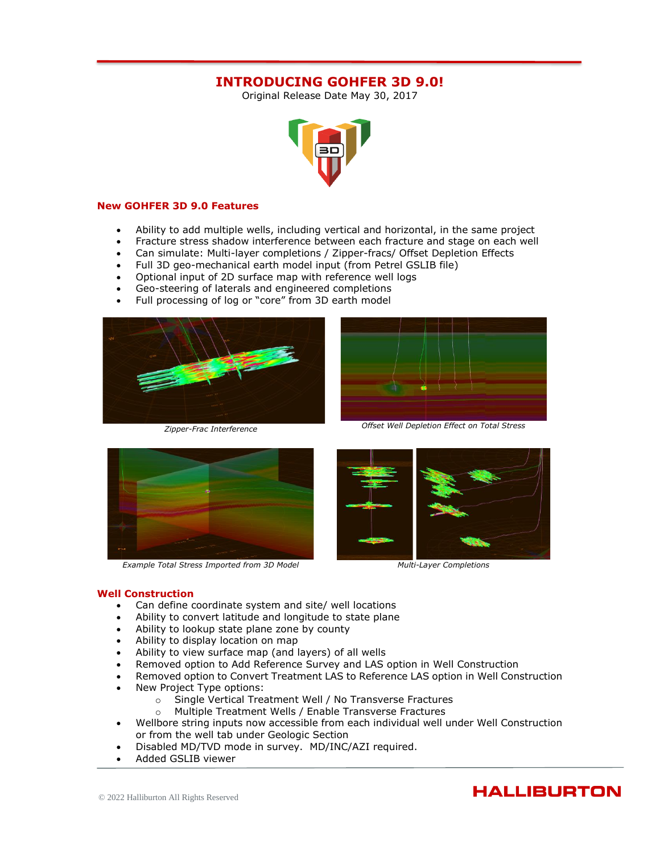# **INTRODUCING GOHFER 3D 9.0!**

Original Release Date May 30, 2017



#### **New GOHFER 3D 9.0 Features**

- Ability to add multiple wells, including vertical and horizontal, in the same project
- Fracture stress shadow interference between each fracture and stage on each well
- Can simulate: Multi-layer completions / Zipper-fracs/ Offset Depletion Effects
- Full 3D geo-mechanical earth model input (from Petrel GSLIB file)
- Optional input of 2D surface map with reference well logs
- Geo-steering of laterals and engineered completions
- Full processing of log or "core" from 3D earth model





*Zipper-Frac Interference Offset Well Depletion Effect on Total Stress*



*Example Total Stress Imported from 3D Model Multi-Layer Completions*



#### **Well Construction**

- Can define coordinate system and site/ well locations
- Ability to convert latitude and longitude to state plane
- Ability to lookup state plane zone by county
- Ability to display location on map
- Ability to view surface map (and layers) of all wells
- Removed option to Add Reference Survey and LAS option in Well Construction
- Removed option to Convert Treatment LAS to Reference LAS option in Well Construction
- New Project Type options:
	- o Single Vertical Treatment Well / No Transverse Fractures
	- o Multiple Treatment Wells / Enable Transverse Fractures
- Wellbore string inputs now accessible from each individual well under Well Construction or from the well tab under Geologic Section
- Disabled MD/TVD mode in survey. MD/INC/AZI required.
- Added GSLIB viewer

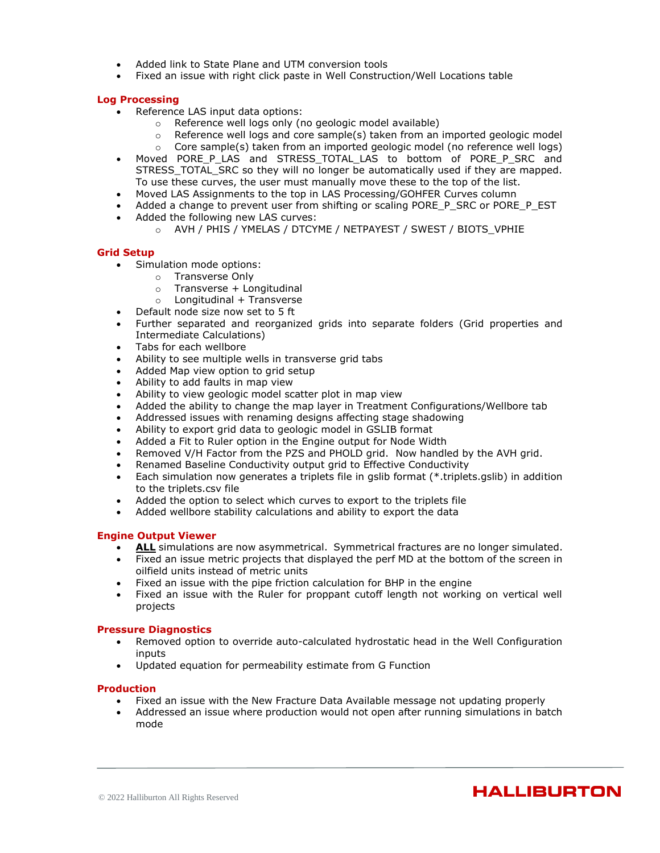- Added link to State Plane and UTM conversion tools
- Fixed an issue with right click paste in Well Construction/Well Locations table

### **Log Processing**

- Reference LAS input data options:
	- o Reference well logs only (no geologic model available)
	- $\circ$  Reference well logs and core sample(s) taken from an imported geologic model
	- o Core sample(s) taken from an imported geologic model (no reference well logs)
- Moved PORE\_P\_LAS and STRESS\_TOTAL\_LAS to bottom of PORE\_P\_SRC and STRESS\_TOTAL\_SRC so they will no longer be automatically used if they are mapped. To use these curves, the user must manually move these to the top of the list.
- Moved LAS Assignments to the top in LAS Processing/GOHFER Curves column
- Added a change to prevent user from shifting or scaling PORE\_P\_SRC or PORE\_P\_EST
- Added the following new LAS curves:
	- o AVH / PHIS / YMELAS / DTCYME / NETPAYEST / SWEST / BIOTS\_VPHIE

#### **Grid Setup**

- Simulation mode options:
	- o Transverse Only
		- o Transverse + Longitudinal
		- $o$  Longitudinal + Transverse
- Default node size now set to 5 ft
- Further separated and reorganized grids into separate folders (Grid properties and Intermediate Calculations)
- Tabs for each wellbore
- Ability to see multiple wells in transverse grid tabs
- Added Map view option to grid setup
- Ability to add faults in map view
- Ability to view geologic model scatter plot in map view
- Added the ability to change the map layer in Treatment Configurations/Wellbore tab
- Addressed issues with renaming designs affecting stage shadowing
- Ability to export grid data to geologic model in GSLIB format
- Added a Fit to Ruler option in the Engine output for Node Width
- Removed V/H Factor from the PZS and PHOLD grid. Now handled by the AVH grid.
- Renamed Baseline Conductivity output grid to Effective Conductivity
- Each simulation now generates a triplets file in gslib format (\*.triplets.gslib) in addition to the triplets.csv file
- Added the option to select which curves to export to the triplets file
- Added wellbore stability calculations and ability to export the data

#### **Engine Output Viewer**

- **ALL** simulations are now asymmetrical. Symmetrical fractures are no longer simulated.
- Fixed an issue metric projects that displayed the perf MD at the bottom of the screen in oilfield units instead of metric units
- Fixed an issue with the pipe friction calculation for BHP in the engine
- Fixed an issue with the Ruler for proppant cutoff length not working on vertical well projects

#### **Pressure Diagnostics**

- Removed option to override auto-calculated hydrostatic head in the Well Configuration inputs
- Updated equation for permeability estimate from G Function

#### **Production**

- Fixed an issue with the New Fracture Data Available message not updating properly
- Addressed an issue where production would not open after running simulations in batch mode

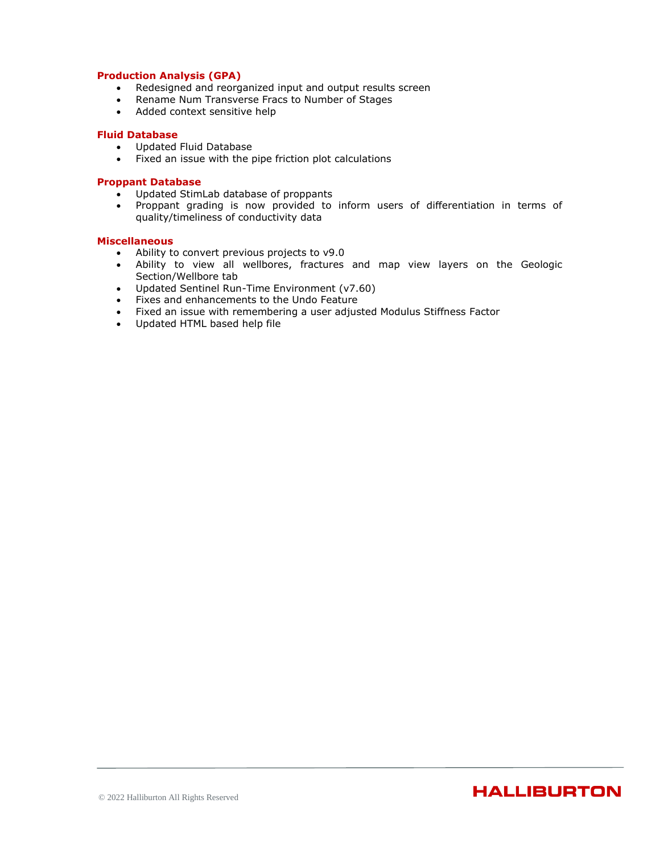### **Production Analysis (GPA)**

- Redesigned and reorganized input and output results screen
- Rename Num Transverse Fracs to Number of Stages
- Added context sensitive help

#### **Fluid Database**

- Updated Fluid Database
- Fixed an issue with the pipe friction plot calculations

#### **Proppant Database**

- Updated StimLab database of proppants
- Proppant grading is now provided to inform users of differentiation in terms of quality/timeliness of conductivity data

- Ability to convert previous projects to v9.0
- Ability to view all wellbores, fractures and map view layers on the Geologic Section/Wellbore tab
- Updated Sentinel Run-Time Environment (v7.60)
- Fixes and enhancements to the Undo Feature
- Fixed an issue with remembering a user adjusted Modulus Stiffness Factor
- Updated HTML based help file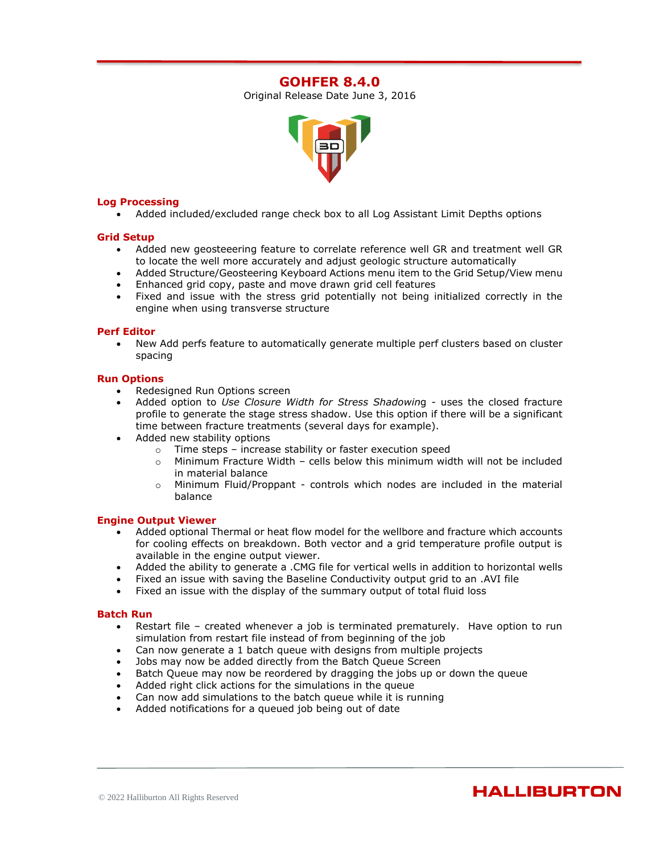# **GOHFER 8.4.0**

Original Release Date June 3, 2016



#### **Log Processing**

• Added included/excluded range check box to all Log Assistant Limit Depths options

### **Grid Setup**

- Added new geosteeering feature to correlate reference well GR and treatment well GR to locate the well more accurately and adjust geologic structure automatically
- Added Structure/Geosteering Keyboard Actions menu item to the Grid Setup/View menu
- Enhanced grid copy, paste and move drawn grid cell features
- Fixed and issue with the stress grid potentially not being initialized correctly in the engine when using transverse structure

#### **Perf Editor**

• New Add perfs feature to automatically generate multiple perf clusters based on cluster spacing

#### **Run Options**

- Redesigned Run Options screen
- Added option to *Use Closure Width for Stress Shadowin*g uses the closed fracture profile to generate the stage stress shadow. Use this option if there will be a significant time between fracture treatments (several days for example).
- Added new stability options
	- o Time steps increase stability or faster execution speed
	- o Minimum Fracture Width cells below this minimum width will not be included in material balance
	- $\circ$  Minimum Fluid/Proppant controls which nodes are included in the material balance

#### **Engine Output Viewer**

- Added optional Thermal or heat flow model for the wellbore and fracture which accounts for cooling effects on breakdown. Both vector and a grid temperature profile output is available in the engine output viewer.
- Added the ability to generate a .CMG file for vertical wells in addition to horizontal wells
- Fixed an issue with saving the Baseline Conductivity output grid to an .AVI file
- Fixed an issue with the display of the summary output of total fluid loss

#### **Batch Run**

- Restart file created whenever a job is terminated prematurely. Have option to run simulation from restart file instead of from beginning of the job
- Can now generate a 1 batch queue with designs from multiple projects
- Jobs may now be added directly from the Batch Queue Screen
- Batch Queue may now be reordered by dragging the jobs up or down the queue
- Added right click actions for the simulations in the queue
- Can now add simulations to the batch queue while it is running
- Added notifications for a queued job being out of date

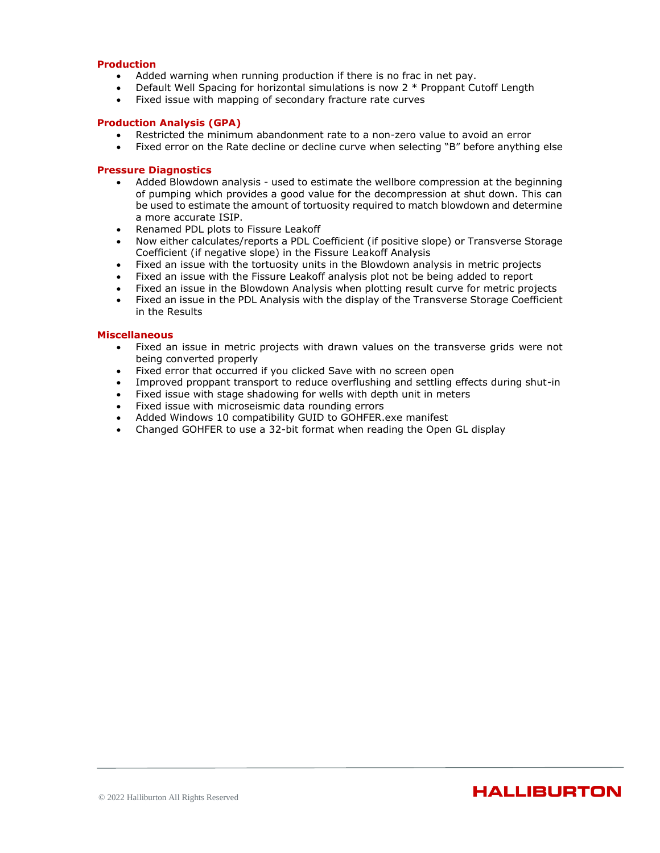### **Production**

- Added warning when running production if there is no frac in net pay.
- Default Well Spacing for horizontal simulations is now 2 \* Proppant Cutoff Length
- Fixed issue with mapping of secondary fracture rate curves

#### **Production Analysis (GPA)**

- Restricted the minimum abandonment rate to a non-zero value to avoid an error
- Fixed error on the Rate decline or decline curve when selecting "B" before anything else

### **Pressure Diagnostics**

- Added Blowdown analysis used to estimate the wellbore compression at the beginning of pumping which provides a good value for the decompression at shut down. This can be used to estimate the amount of tortuosity required to match blowdown and determine a more accurate ISIP.
- Renamed PDL plots to Fissure Leakoff
- Now either calculates/reports a PDL Coefficient (if positive slope) or Transverse Storage Coefficient (if negative slope) in the Fissure Leakoff Analysis
- Fixed an issue with the tortuosity units in the Blowdown analysis in metric projects
- Fixed an issue with the Fissure Leakoff analysis plot not be being added to report
- Fixed an issue in the Blowdown Analysis when plotting result curve for metric projects
- Fixed an issue in the PDL Analysis with the display of the Transverse Storage Coefficient in the Results

- Fixed an issue in metric projects with drawn values on the transverse grids were not being converted properly
- Fixed error that occurred if you clicked Save with no screen open
- Improved proppant transport to reduce overflushing and settling effects during shut-in
- Fixed issue with stage shadowing for wells with depth unit in meters
- Fixed issue with microseismic data rounding errors
- Added Windows 10 compatibility GUID to GOHFER.exe manifest
- Changed GOHFER to use a 32-bit format when reading the Open GL display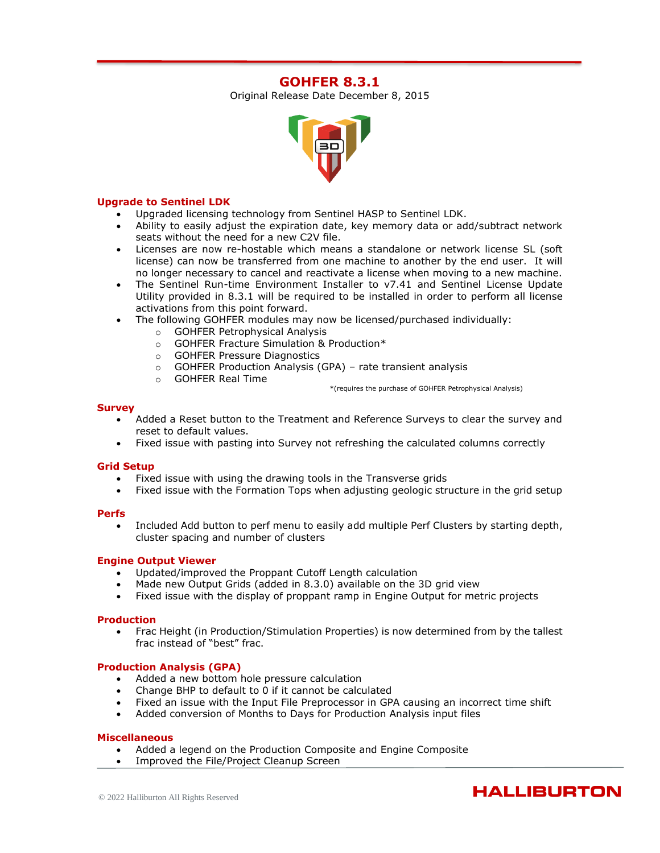# **GOHFER 8.3.1**

Original Release Date December 8, 2015



#### **Upgrade to Sentinel LDK**

- Upgraded licensing technology from Sentinel HASP to Sentinel LDK.
- Ability to easily adjust the expiration date, key memory data or add/subtract network seats without the need for a new C2V file.
- Licenses are now re-hostable which means a standalone or network license SL (soft license) can now be transferred from one machine to another by the end user. It will no longer necessary to cancel and reactivate a license when moving to a new machine.
- The Sentinel Run-time Environment Installer to v7.41 and Sentinel License Update Utility provided in 8.3.1 will be required to be installed in order to perform all license activations from this point forward.
- The following GOHFER modules may now be licensed/purchased individually:
	- o GOHFER Petrophysical Analysis
	- o GOHFER Fracture Simulation & Production\*
	- o GOHFER Pressure Diagnostics
	- o GOHFER Production Analysis (GPA) rate transient analysis
	- o GOHFER Real Time

\*(requires the purchase of GOHFER Petrophysical Analysis)

#### **Survey**

- Added a Reset button to the Treatment and Reference Surveys to clear the survey and reset to default values.
- Fixed issue with pasting into Survey not refreshing the calculated columns correctly

#### **Grid Setup**

- Fixed issue with using the drawing tools in the Transverse grids
- Fixed issue with the Formation Tops when adjusting geologic structure in the grid setup

#### **Perfs**

• Included Add button to perf menu to easily add multiple Perf Clusters by starting depth, cluster spacing and number of clusters

# **Engine Output Viewer**

- Updated/improved the Proppant Cutoff Length calculation
- Made new Output Grids (added in 8.3.0) available on the 3D grid view
- Fixed issue with the display of proppant ramp in Engine Output for metric projects

#### **Production**

• Frac Height (in Production/Stimulation Properties) is now determined from by the tallest frac instead of "best" frac.

# **Production Analysis (GPA)**

- Added a new bottom hole pressure calculation
- Change BHP to default to 0 if it cannot be calculated
- Fixed an issue with the Input File Preprocessor in GPA causing an incorrect time shift
- Added conversion of Months to Days for Production Analysis input files

- Added a legend on the Production Composite and Engine Composite
- Improved the File/Project Cleanup Screen

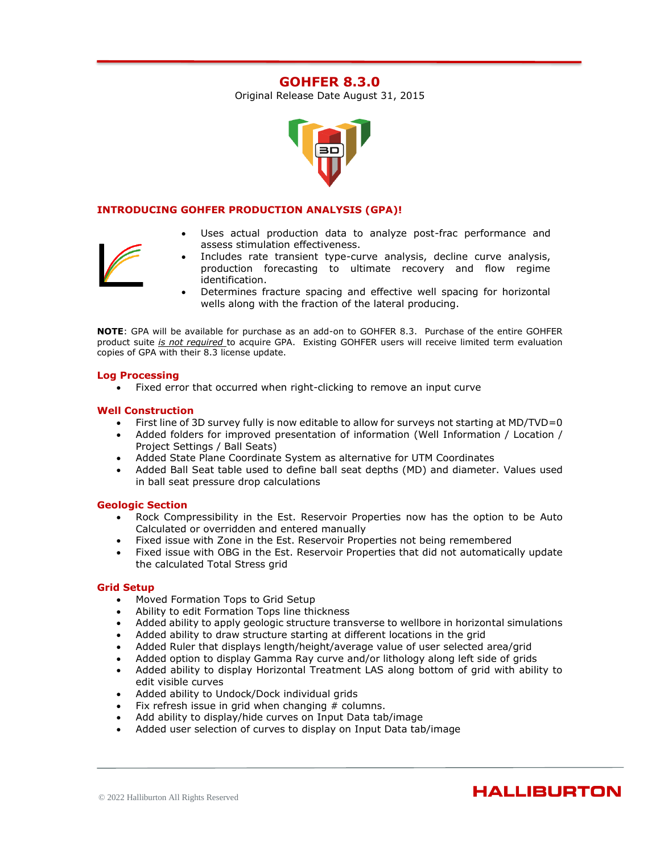# **GOHFER 8.3.0**

Original Release Date August 31, 2015



# **INTRODUCING GOHFER PRODUCTION ANALYSIS (GPA)!**

- 
- Uses actual production data to analyze post-frac performance and assess stimulation effectiveness.
- Includes rate transient type-curve analysis, decline curve analysis, production forecasting to ultimate recovery and flow regime identification.
- Determines fracture spacing and effective well spacing for horizontal wells along with the fraction of the lateral producing.

**NOTE**: GPA will be available for purchase as an add-on to GOHFER 8.3. Purchase of the entire GOHFER product suite *is not required* to acquire GPA. Existing GOHFER users will receive limited term evaluation copies of GPA with their 8.3 license update.

### **Log Processing**

• Fixed error that occurred when right-clicking to remove an input curve

### **Well Construction**

- First line of 3D survey fully is now editable to allow for surveys not starting at MD/TVD=0
- Added folders for improved presentation of information (Well Information / Location / Project Settings / Ball Seats)
- Added State Plane Coordinate System as alternative for UTM Coordinates
- Added Ball Seat table used to define ball seat depths (MD) and diameter. Values used in ball seat pressure drop calculations

# **Geologic Section**

- Rock Compressibility in the Est. Reservoir Properties now has the option to be Auto Calculated or overridden and entered manually
- Fixed issue with Zone in the Est. Reservoir Properties not being remembered
- Fixed issue with OBG in the Est. Reservoir Properties that did not automatically update the calculated Total Stress grid

#### **Grid Setup**

- Moved Formation Tops to Grid Setup
- Ability to edit Formation Tops line thickness
- Added ability to apply geologic structure transverse to wellbore in horizontal simulations
- Added ability to draw structure starting at different locations in the grid
- Added Ruler that displays length/height/average value of user selected area/grid
- Added option to display Gamma Ray curve and/or lithology along left side of grids
- Added ability to display Horizontal Treatment LAS along bottom of grid with ability to edit visible curves
- Added ability to Undock/Dock individual grids
- Fix refresh issue in grid when changing  $#$  columns.
- Add ability to display/hide curves on Input Data tab/image
- Added user selection of curves to display on Input Data tab/image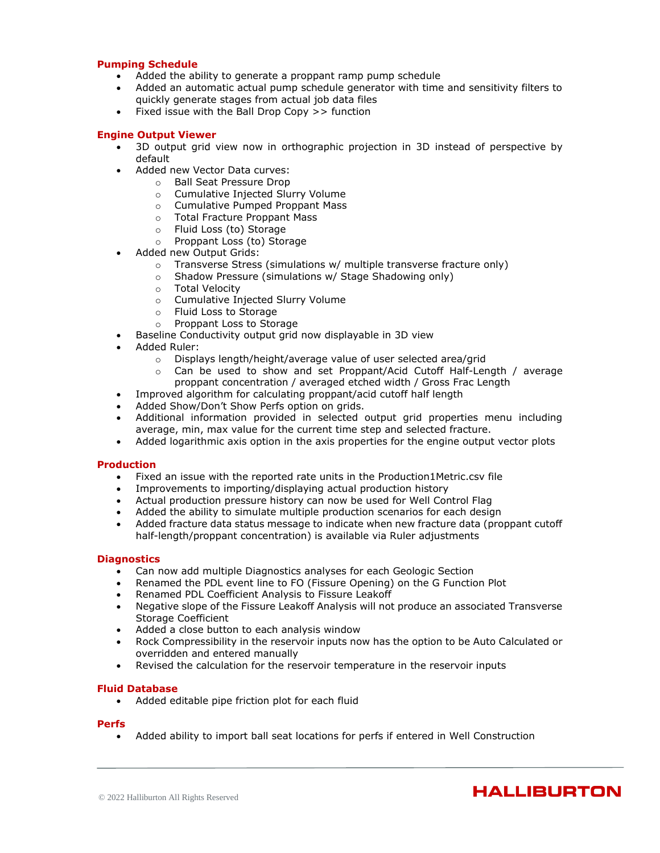#### **Pumping Schedule**

- Added the ability to generate a proppant ramp pump schedule
- Added an automatic actual pump schedule generator with time and sensitivity filters to quickly generate stages from actual job data files
- Fixed issue with the Ball Drop Copy >> function

#### **Engine Output Viewer**

- 3D output grid view now in orthographic projection in 3D instead of perspective by default
- Added new Vector Data curves:
	- o Ball Seat Pressure Drop
	- o Cumulative Injected Slurry Volume
	- o Cumulative Pumped Proppant Mass
	- o Total Fracture Proppant Mass
	- o Fluid Loss (to) Storage
	- o Proppant Loss (to) Storage
- Added new Output Grids:
	- o Transverse Stress (simulations w/ multiple transverse fracture only)
	- o Shadow Pressure (simulations w/ Stage Shadowing only)
	- o Total Velocity
	- o Cumulative Injected Slurry Volume
	- o Fluid Loss to Storage<br>○ Proppant Loss to Stor
	- Proppant Loss to Storage
- Baseline Conductivity output grid now displayable in 3D view
- Added Ruler:
	- o Displays length/height/average value of user selected area/grid
	- $\circ$  Can be used to show and set Proppant/Acid Cutoff Half-Length / average proppant concentration / averaged etched width / Gross Frac Length
- Improved algorithm for calculating proppant/acid cutoff half length
- Added Show/Don't Show Perfs option on grids.
- Additional information provided in selected output grid properties menu including average, min, max value for the current time step and selected fracture.
- Added logarithmic axis option in the axis properties for the engine output vector plots

#### **Production**

- Fixed an issue with the reported rate units in the Production1Metric.csv file
- Improvements to importing/displaying actual production history
- Actual production pressure history can now be used for Well Control Flag
- Added the ability to simulate multiple production scenarios for each design
- Added fracture data status message to indicate when new fracture data (proppant cutoff half-length/proppant concentration) is available via Ruler adjustments

#### **Diagnostics**

- Can now add multiple Diagnostics analyses for each Geologic Section
- Renamed the PDL event line to FO (Fissure Opening) on the G Function Plot
- Renamed PDL Coefficient Analysis to Fissure Leakoff
- Negative slope of the Fissure Leakoff Analysis will not produce an associated Transverse Storage Coefficient
- Added a close button to each analysis window
- Rock Compressibility in the reservoir inputs now has the option to be Auto Calculated or overridden and entered manually
- Revised the calculation for the reservoir temperature in the reservoir inputs

#### **Fluid Database**

• Added editable pipe friction plot for each fluid

#### **Perfs**

• Added ability to import ball seat locations for perfs if entered in Well Construction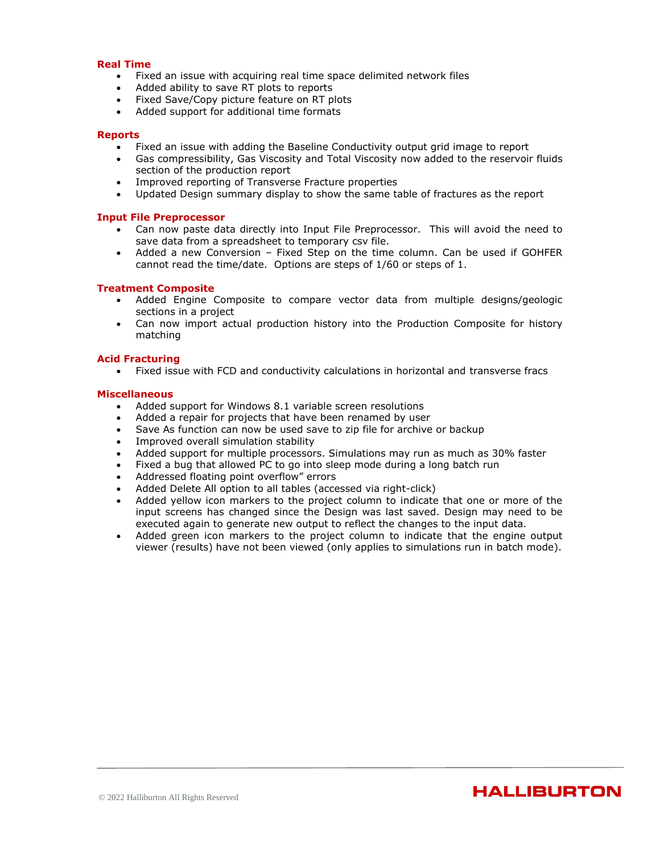#### **Real Time**

- Fixed an issue with acquiring real time space delimited network files
- Added ability to save RT plots to reports
- Fixed Save/Copy picture feature on RT plots
- Added support for additional time formats

#### **Reports**

- Fixed an issue with adding the Baseline Conductivity output grid image to report
- Gas compressibility, Gas Viscosity and Total Viscosity now added to the reservoir fluids section of the production report
- Improved reporting of Transverse Fracture properties
- Updated Design summary display to show the same table of fractures as the report

#### **Input File Preprocessor**

- Can now paste data directly into Input File Preprocessor. This will avoid the need to save data from a spreadsheet to temporary csv file.
- Added a new Conversion Fixed Step on the time column. Can be used if GOHFER cannot read the time/date. Options are steps of 1/60 or steps of 1.

#### **Treatment Composite**

- Added Engine Composite to compare vector data from multiple designs/geologic sections in a project
- Can now import actual production history into the Production Composite for history matching

#### **Acid Fracturing**

• Fixed issue with FCD and conductivity calculations in horizontal and transverse fracs

- Added support for Windows 8.1 variable screen resolutions
- Added a repair for projects that have been renamed by user
- Save As function can now be used save to zip file for archive or backup
- Improved overall simulation stability
- Added support for multiple processors. Simulations may run as much as 30% faster
- Fixed a bug that allowed PC to go into sleep mode during a long batch run
- Addressed floating point overflow" errors
- Added Delete All option to all tables (accessed via right-click)
- Added yellow icon markers to the project column to indicate that one or more of the input screens has changed since the Design was last saved. Design may need to be executed again to generate new output to reflect the changes to the input data.
- Added green icon markers to the project column to indicate that the engine output viewer (results) have not been viewed (only applies to simulations run in batch mode).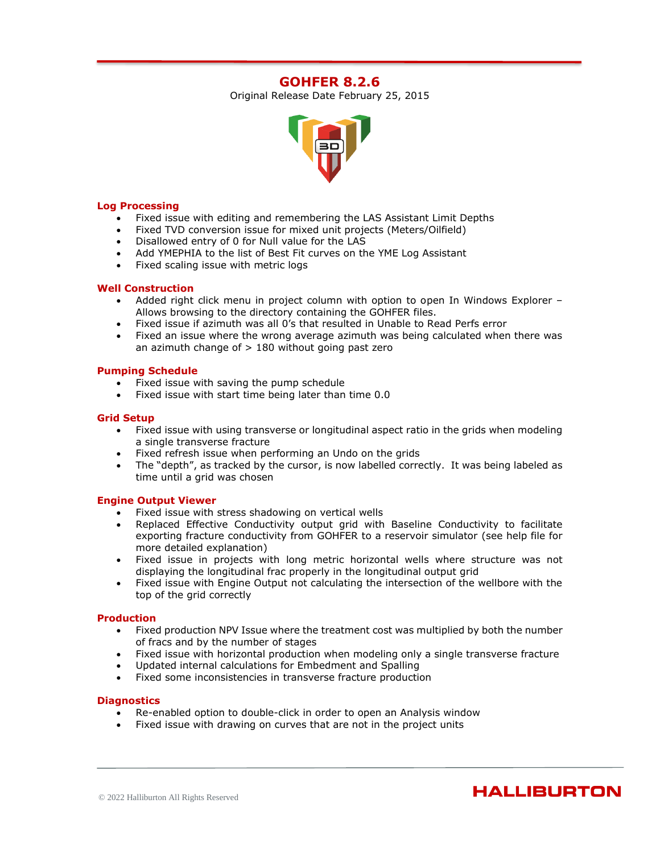# **GOHFER 8.2.6**

Original Release Date February 25, 2015



#### **Log Processing**

- Fixed issue with editing and remembering the LAS Assistant Limit Depths
- Fixed TVD conversion issue for mixed unit projects (Meters/Oilfield)
- Disallowed entry of 0 for Null value for the LAS
- Add YMEPHIA to the list of Best Fit curves on the YME Log Assistant
- Fixed scaling issue with metric logs

#### **Well Construction**

- Added right click menu in project column with option to open In Windows Explorer Allows browsing to the directory containing the GOHFER files.
- Fixed issue if azimuth was all 0's that resulted in Unable to Read Perfs error
- Fixed an issue where the wrong average azimuth was being calculated when there was an azimuth change of  $> 180$  without going past zero

### **Pumping Schedule**

- Fixed issue with saving the pump schedule
- Fixed issue with start time being later than time 0.0

### **Grid Setup**

- Fixed issue with using transverse or longitudinal aspect ratio in the grids when modeling a single transverse fracture
- Fixed refresh issue when performing an Undo on the grids
- The "depth", as tracked by the cursor, is now labelled correctly. It was being labeled as time until a grid was chosen

#### **Engine Output Viewer**

- Fixed issue with stress shadowing on vertical wells
- Replaced Effective Conductivity output grid with Baseline Conductivity to facilitate exporting fracture conductivity from GOHFER to a reservoir simulator (see help file for more detailed explanation)
- Fixed issue in projects with long metric horizontal wells where structure was not displaying the longitudinal frac properly in the longitudinal output grid
- Fixed issue with Engine Output not calculating the intersection of the wellbore with the top of the grid correctly

#### **Production**

- Fixed production NPV Issue where the treatment cost was multiplied by both the number of fracs and by the number of stages
- Fixed issue with horizontal production when modeling only a single transverse fracture
- Updated internal calculations for Embedment and Spalling
- Fixed some inconsistencies in transverse fracture production

#### **Diagnostics**

- Re-enabled option to double-click in order to open an Analysis window
- Fixed issue with drawing on curves that are not in the project units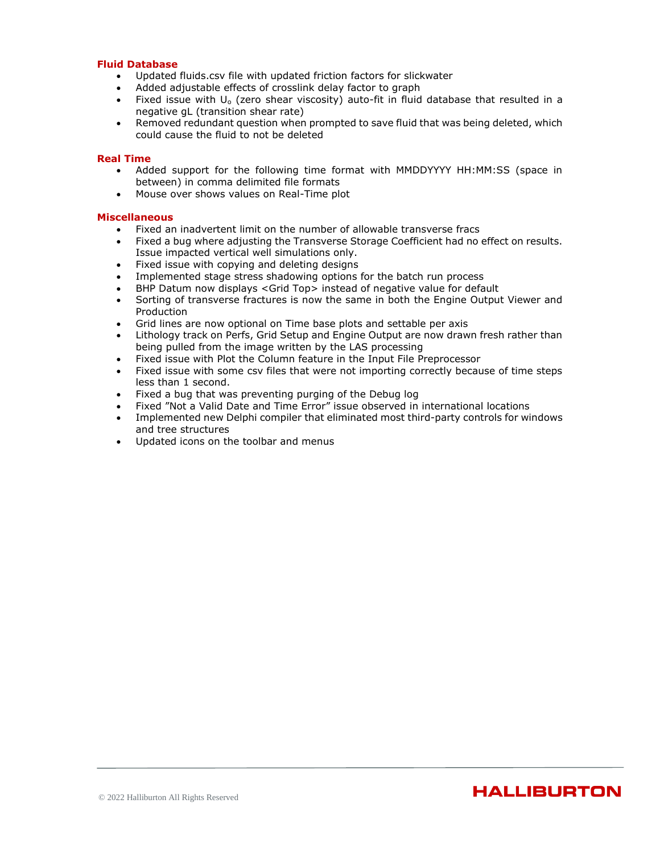#### **Fluid Database**

- Updated fluids.csv file with updated friction factors for slickwater
- Added adjustable effects of crosslink delay factor to graph
- Fixed issue with  $U_0$  (zero shear viscosity) auto-fit in fluid database that resulted in a negative gL (transition shear rate)
- Removed redundant question when prompted to save fluid that was being deleted, which could cause the fluid to not be deleted

#### **Real Time**

- Added support for the following time format with MMDDYYYY HH:MM:SS (space in between) in comma delimited file formats
- Mouse over shows values on Real-Time plot

- Fixed an inadvertent limit on the number of allowable transverse fracs
- Fixed a bug where adjusting the Transverse Storage Coefficient had no effect on results. Issue impacted vertical well simulations only.
- Fixed issue with copying and deleting designs
- Implemented stage stress shadowing options for the batch run process
- BHP Datum now displays <Grid Top> instead of negative value for default
- Sorting of transverse fractures is now the same in both the Engine Output Viewer and Production
- Grid lines are now optional on Time base plots and settable per axis
- Lithology track on Perfs, Grid Setup and Engine Output are now drawn fresh rather than being pulled from the image written by the LAS processing
- Fixed issue with Plot the Column feature in the Input File Preprocessor
- Fixed issue with some csv files that were not importing correctly because of time steps less than 1 second.
- Fixed a bug that was preventing purging of the Debug log
- Fixed "Not a Valid Date and Time Error" issue observed in international locations
- Implemented new Delphi compiler that eliminated most third-party controls for windows and tree structures
- Updated icons on the toolbar and menus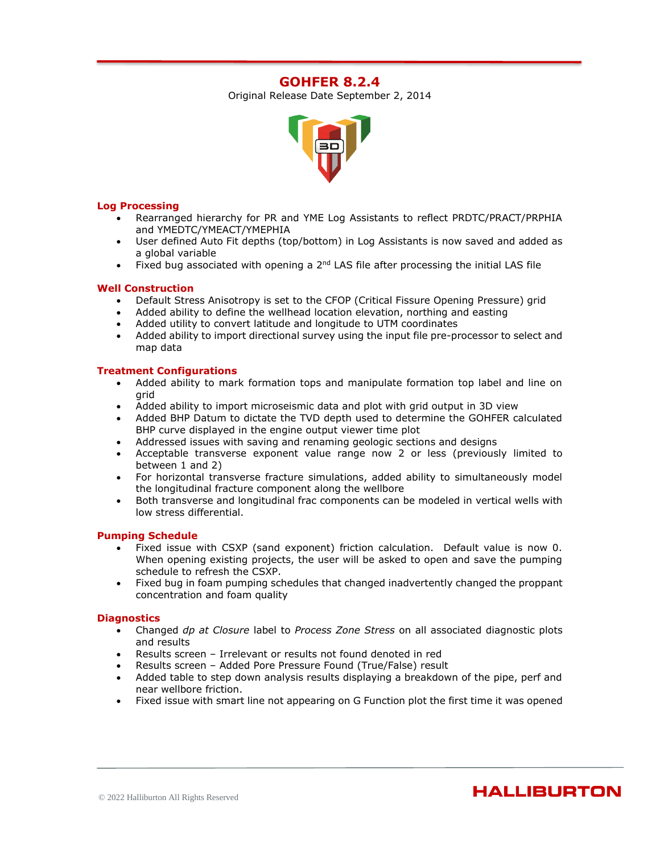# **GOHFER 8.2.4**

Original Release Date September 2, 2014



### **Log Processing**

- Rearranged hierarchy for PR and YME Log Assistants to reflect PRDTC/PRACT/PRPHIA and YMEDTC/YMEACT/YMEPHIA
- User defined Auto Fit depths (top/bottom) in Log Assistants is now saved and added as a global variable
- Fixed bug associated with opening a  $2<sup>nd</sup>$  LAS file after processing the initial LAS file

### **Well Construction**

- Default Stress Anisotropy is set to the CFOP (Critical Fissure Opening Pressure) grid
- Added ability to define the wellhead location elevation, northing and easting
- Added utility to convert latitude and longitude to UTM coordinates
- Added ability to import directional survey using the input file pre-processor to select and map data

### **Treatment Configurations**

- Added ability to mark formation tops and manipulate formation top label and line on grid
- Added ability to import microseismic data and plot with grid output in 3D view
- Added BHP Datum to dictate the TVD depth used to determine the GOHFER calculated BHP curve displayed in the engine output viewer time plot
- Addressed issues with saving and renaming geologic sections and designs
- Acceptable transverse exponent value range now 2 or less (previously limited to between 1 and 2)
- For horizontal transverse fracture simulations, added ability to simultaneously model the longitudinal fracture component along the wellbore
- Both transverse and longitudinal frac components can be modeled in vertical wells with low stress differential.

#### **Pumping Schedule**

- Fixed issue with CSXP (sand exponent) friction calculation. Default value is now 0. When opening existing projects, the user will be asked to open and save the pumping schedule to refresh the CSXP.
- Fixed bug in foam pumping schedules that changed inadvertently changed the proppant concentration and foam quality

#### **Diagnostics**

- Changed *dp at Closure* label to *Process Zone Stress* on all associated diagnostic plots and results
- Results screen Irrelevant or results not found denoted in red
- Results screen Added Pore Pressure Found (True/False) result
- Added table to step down analysis results displaying a breakdown of the pipe, perf and near wellbore friction.
- Fixed issue with smart line not appearing on G Function plot the first time it was opened

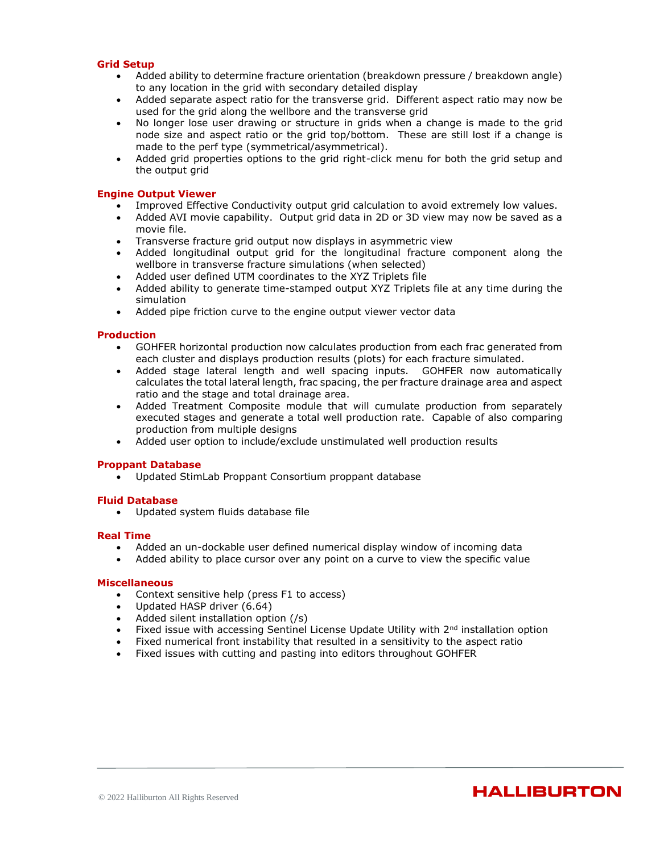### **Grid Setup**

- Added ability to determine fracture orientation (breakdown pressure / breakdown angle) to any location in the grid with secondary detailed display
- Added separate aspect ratio for the transverse grid. Different aspect ratio may now be used for the grid along the wellbore and the transverse grid
- No longer lose user drawing or structure in grids when a change is made to the grid node size and aspect ratio or the grid top/bottom. These are still lost if a change is made to the perf type (symmetrical/asymmetrical).
- Added grid properties options to the grid right-click menu for both the grid setup and the output grid

#### **Engine Output Viewer**

- Improved Effective Conductivity output grid calculation to avoid extremely low values.
- Added AVI movie capability. Output grid data in 2D or 3D view may now be saved as a movie file.
- Transverse fracture grid output now displays in asymmetric view
- Added longitudinal output grid for the longitudinal fracture component along the wellbore in transverse fracture simulations (when selected)
- Added user defined UTM coordinates to the XYZ Triplets file
- Added ability to generate time-stamped output XYZ Triplets file at any time during the simulation
- Added pipe friction curve to the engine output viewer vector data

#### **Production**

- GOHFER horizontal production now calculates production from each frac generated from each cluster and displays production results (plots) for each fracture simulated.
- Added stage lateral length and well spacing inputs. GOHFER now automatically calculates the total lateral length, frac spacing, the per fracture drainage area and aspect ratio and the stage and total drainage area.
- Added Treatment Composite module that will cumulate production from separately executed stages and generate a total well production rate. Capable of also comparing production from multiple designs
- Added user option to include/exclude unstimulated well production results

#### **Proppant Database**

• Updated StimLab Proppant Consortium proppant database

#### **Fluid Database**

• Updated system fluids database file

#### **Real Time**

- Added an un-dockable user defined numerical display window of incoming data
- Added ability to place cursor over any point on a curve to view the specific value

#### **Miscellaneous**

- Context sensitive help (press F1 to access)
- Updated HASP driver (6.64)
- Added silent installation option (/s)
- Fixed issue with accessing Sentinel License Update Utility with 2<sup>nd</sup> installation option

- Fixed numerical front instability that resulted in a sensitivity to the aspect ratio
- Fixed issues with cutting and pasting into editors throughout GOHFER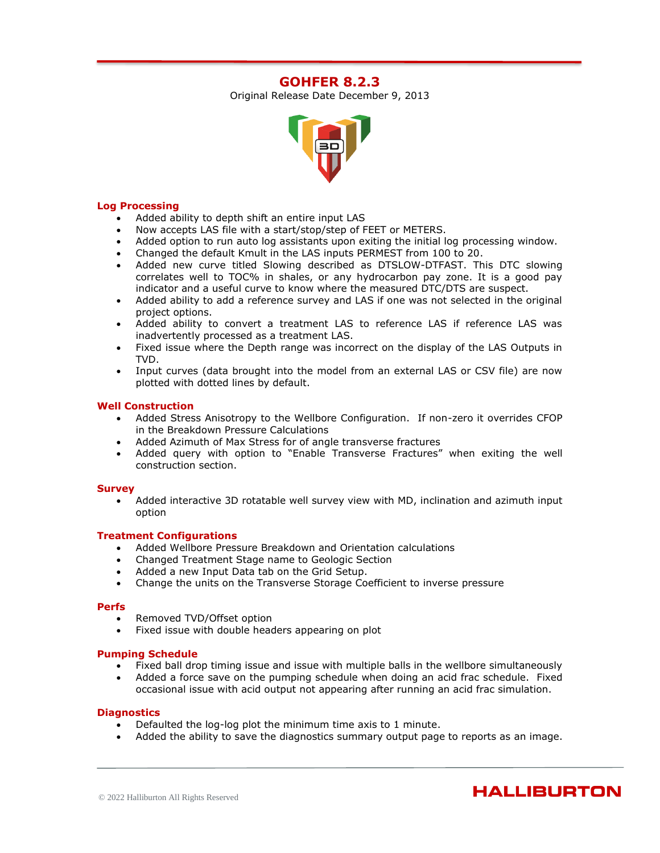# **GOHFER 8.2.3**

Original Release Date December 9, 2013



### **Log Processing**

- Added ability to depth shift an entire input LAS
- Now accepts LAS file with a start/stop/step of FEET or METERS.
- Added option to run auto log assistants upon exiting the initial log processing window.
- Changed the default Kmult in the LAS inputs PERMEST from 100 to 20.
- Added new curve titled Slowing described as DTSLOW-DTFAST. This DTC slowing correlates well to TOC% in shales, or any hydrocarbon pay zone. It is a good pay indicator and a useful curve to know where the measured DTC/DTS are suspect.
- Added ability to add a reference survey and LAS if one was not selected in the original project options.
- Added ability to convert a treatment LAS to reference LAS if reference LAS was inadvertently processed as a treatment LAS.
- Fixed issue where the Depth range was incorrect on the display of the LAS Outputs in TVD.
- Input curves (data brought into the model from an external LAS or CSV file) are now plotted with dotted lines by default.

### **Well Construction**

- Added Stress Anisotropy to the Wellbore Configuration. If non-zero it overrides CFOP in the Breakdown Pressure Calculations
- Added Azimuth of Max Stress for of angle transverse fractures
- Added query with option to "Enable Transverse Fractures" when exiting the well construction section.

#### **Survey**

• Added interactive 3D rotatable well survey view with MD, inclination and azimuth input option

#### **Treatment Configurations**

- Added Wellbore Pressure Breakdown and Orientation calculations
- Changed Treatment Stage name to Geologic Section
- Added a new Input Data tab on the Grid Setup.
- Change the units on the Transverse Storage Coefficient to inverse pressure

#### **Perfs**

- Removed TVD/Offset option
- Fixed issue with double headers appearing on plot

#### **Pumping Schedule**

- Fixed ball drop timing issue and issue with multiple balls in the wellbore simultaneously
- Added a force save on the pumping schedule when doing an acid frac schedule. Fixed occasional issue with acid output not appearing after running an acid frac simulation.

#### **Diagnostics**

- Defaulted the log-log plot the minimum time axis to 1 minute.
- Added the ability to save the diagnostics summary output page to reports as an image.

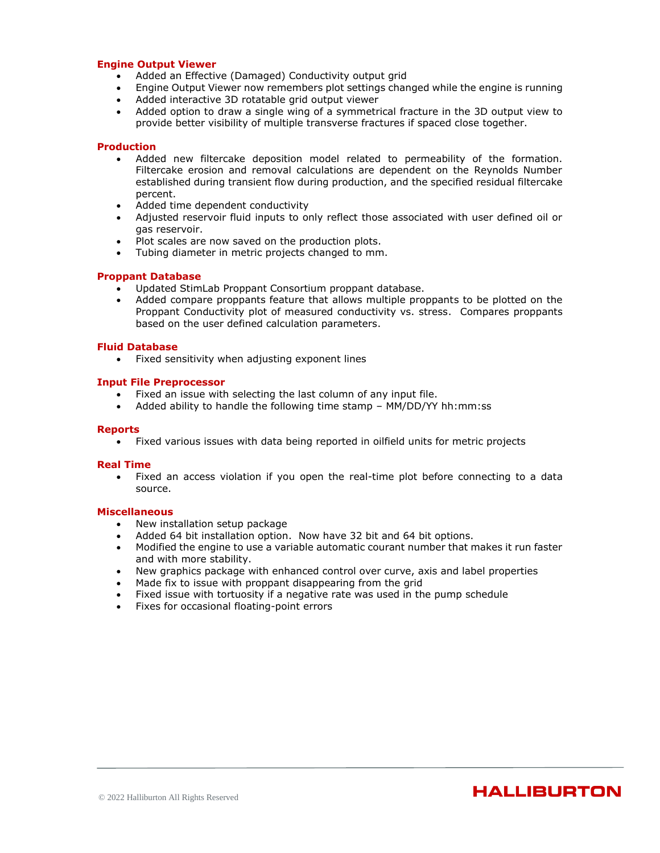#### **Engine Output Viewer**

- Added an Effective (Damaged) Conductivity output grid
- Engine Output Viewer now remembers plot settings changed while the engine is running
- Added interactive 3D rotatable grid output viewer
- Added option to draw a single wing of a symmetrical fracture in the 3D output view to provide better visibility of multiple transverse fractures if spaced close together.

#### **Production**

- Added new filtercake deposition model related to permeability of the formation. Filtercake erosion and removal calculations are dependent on the Reynolds Number established during transient flow during production, and the specified residual filtercake percent.
- Added time dependent conductivity
- Adjusted reservoir fluid inputs to only reflect those associated with user defined oil or gas reservoir.
- Plot scales are now saved on the production plots.
- Tubing diameter in metric projects changed to mm.

#### **Proppant Database**

- Updated StimLab Proppant Consortium proppant database.
- Added compare proppants feature that allows multiple proppants to be plotted on the Proppant Conductivity plot of measured conductivity vs. stress. Compares proppants based on the user defined calculation parameters.

#### **Fluid Database**

• Fixed sensitivity when adjusting exponent lines

#### **Input File Preprocessor**

- Fixed an issue with selecting the last column of any input file.
- Added ability to handle the following time stamp MM/DD/YY hh:mm:ss

#### **Reports**

• Fixed various issues with data being reported in oilfield units for metric projects

#### **Real Time**

• Fixed an access violation if you open the real-time plot before connecting to a data source.

- New installation setup package
- Added 64 bit installation option. Now have 32 bit and 64 bit options.
- Modified the engine to use a variable automatic courant number that makes it run faster and with more stability.
- New graphics package with enhanced control over curve, axis and label properties
- Made fix to issue with proppant disappearing from the grid
- Fixed issue with tortuosity if a negative rate was used in the pump schedule
- Fixes for occasional floating-point errors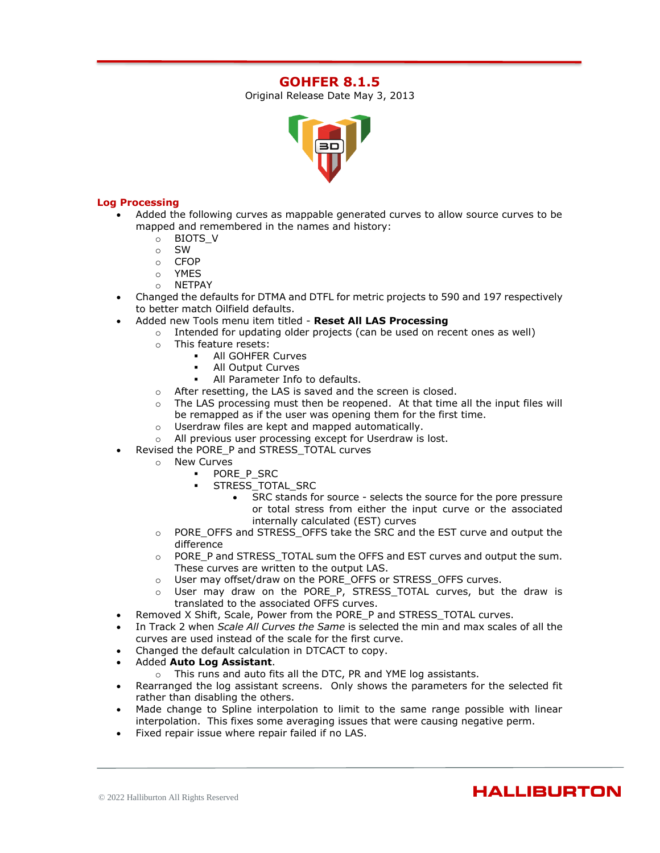# **GOHFER 8.1.5**

Original Release Date May 3, 2013



# **Log Processing**

- Added the following curves as mappable generated curves to allow source curves to be mapped and remembered in the names and history:
	- o BIOTS\_V
	- o SW
	- o CFOP
	- o YMES
	- o NETPAY
- Changed the defaults for DTMA and DTFL for metric projects to 590 and 197 respectively to better match Oilfield defaults.
- Added new Tools menu item titled **Reset All LAS Processing**
	- $\circ$  Intended for updating older projects (can be used on recent ones as well)
		- o This feature resets:
			- All GOHFER Curves
			- All Output Curves
			- All Parameter Info to defaults.
		- o After resetting, the LAS is saved and the screen is closed.
		- o The LAS processing must then be reopened. At that time all the input files will be remapped as if the user was opening them for the first time.
		- o Userdraw files are kept and mapped automatically.
		- o All previous user processing except for Userdraw is lost.
- Revised the PORE\_P and STRESS\_TOTAL curves
	- o New Curves
		- PORE P\_SRC
		- STRESS\_TOTAL\_SRC
			- SRC stands for source selects the source for the pore pressure or total stress from either the input curve or the associated internally calculated (EST) curves
	- o PORE\_OFFS and STRESS\_OFFS take the SRC and the EST curve and output the difference
	- o PORE\_P and STRESS\_TOTAL sum the OFFS and EST curves and output the sum. These curves are written to the output LAS.
	- o User may offset/draw on the PORE\_OFFS or STRESS\_OFFS curves.
	- o User may draw on the PORE\_P, STRESS\_TOTAL curves, but the draw is translated to the associated OFFS curves.
- Removed X Shift, Scale, Power from the PORE\_P and STRESS\_TOTAL curves.
- In Track 2 when *Scale All Curves the Same* is selected the min and max scales of all the curves are used instead of the scale for the first curve.
- Changed the default calculation in DTCACT to copy.
- Added **Auto Log Assistant**.
	- o This runs and auto fits all the DTC, PR and YME log assistants.
- Rearranged the log assistant screens. Only shows the parameters for the selected fit rather than disabling the others.
- Made change to Spline interpolation to limit to the same range possible with linear interpolation. This fixes some averaging issues that were causing negative perm.
- Fixed repair issue where repair failed if no LAS.

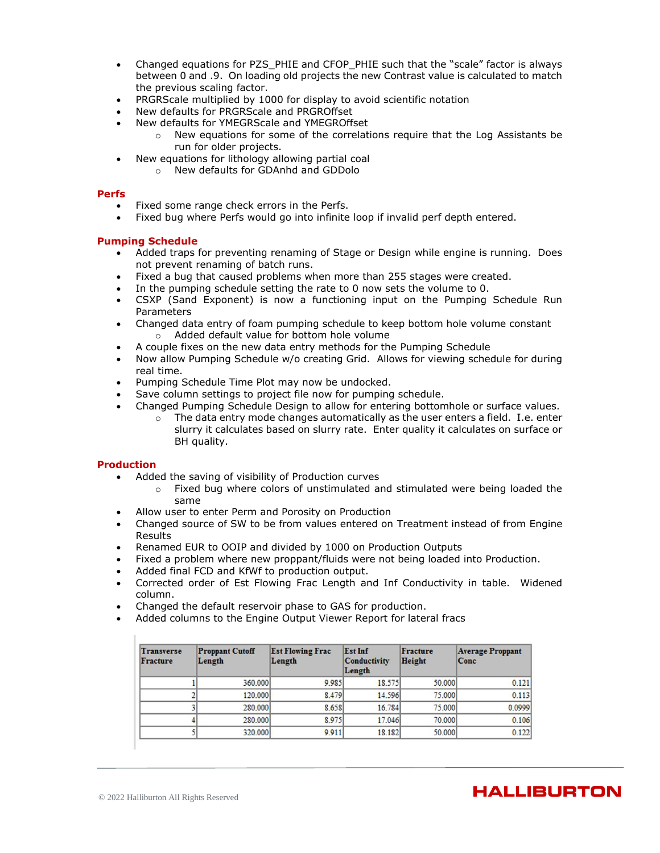- Changed equations for PZS\_PHIE and CFOP\_PHIE such that the "scale" factor is always between 0 and .9. On loading old projects the new Contrast value is calculated to match the previous scaling factor.
- PRGRScale multiplied by 1000 for display to avoid scientific notation
- New defaults for PRGRScale and PRGROffset
- New defaults for YMEGRScale and YMEGROffset
	- $\circ$  New equations for some of the correlations require that the Log Assistants be run for older projects.
- New equations for lithology allowing partial coal
- o New defaults for GDAnhd and GDDolo

#### **Perfs**

- Fixed some range check errors in the Perfs.
- Fixed bug where Perfs would go into infinite loop if invalid perf depth entered.

### **Pumping Schedule**

- Added traps for preventing renaming of Stage or Design while engine is running. Does not prevent renaming of batch runs.
- Fixed a bug that caused problems when more than 255 stages were created.
- In the pumping schedule setting the rate to 0 now sets the volume to 0.
- CSXP (Sand Exponent) is now a functioning input on the Pumping Schedule Run Parameters
- Changed data entry of foam pumping schedule to keep bottom hole volume constant o Added default value for bottom hole volume
- A couple fixes on the new data entry methods for the Pumping Schedule
- Now allow Pumping Schedule w/o creating Grid. Allows for viewing schedule for during real time.
- Pumping Schedule Time Plot may now be undocked.
- Save column settings to project file now for pumping schedule.
- Changed Pumping Schedule Design to allow for entering bottomhole or surface values.
	- $\circ$  The data entry mode changes automatically as the user enters a field. I.e. enter slurry it calculates based on slurry rate. Enter quality it calculates on surface or BH quality.

#### **Production**

- Added the saving of visibility of Production curves
	- o Fixed bug where colors of unstimulated and stimulated were being loaded the same
- Allow user to enter Perm and Porosity on Production
- Changed source of SW to be from values entered on Treatment instead of from Engine Results
- Renamed EUR to OOIP and divided by 1000 on Production Outputs
- Fixed a problem where new proppant/fluids were not being loaded into Production.
- Added final FCD and KfWf to production output.
- Corrected order of Est Flowing Frac Length and Inf Conductivity in table. Widened column.
- Changed the default reservoir phase to GAS for production.
- Added columns to the Engine Output Viewer Report for lateral fracs

| <b>Transverse</b><br><b>Fracture</b> | <b>Proppant Cutoff</b><br>Length | <b>Est Flowing Frac</b><br>Length | Est Inf<br><b>Conductivity</b><br>Length | Fracture<br>Height | <b>Average Proppant</b><br>Conc |
|--------------------------------------|----------------------------------|-----------------------------------|------------------------------------------|--------------------|---------------------------------|
|                                      | 360,000                          | 9.985                             | 18.575                                   | 50,000             | 0.121                           |
|                                      | 120,000                          | 8.479                             | 14.596                                   | 75,000             | 0.113                           |
|                                      | 280,000                          | 8.658                             | 16.784                                   | 75,000             | 0.0999                          |
|                                      | 280,000                          | 8.975                             | 17.046                                   | 70,000             | 0.106                           |
|                                      | 320,000                          | 9.911                             | 18.182                                   | 50,000             | 0.122                           |